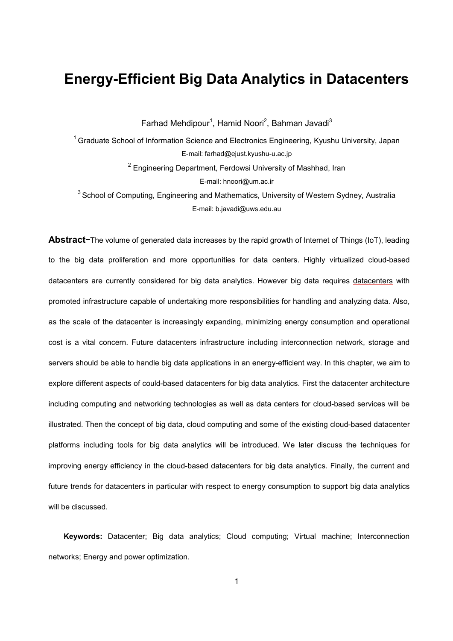# **Energy-Efficient Big Data Analytics in Datacenters**

Farhad Mehdipour<sup>1</sup>, Hamid Noori<sup>2</sup>, Bahman Javadi<sup>3</sup>

 $1$  Graduate School of Information Science and Electronics Engineering, Kyushu University, Japan E-mail: farhad@ejust.kyushu-u.ac.jp <sup>2</sup> Engineering Department, Ferdowsi University of Mashhad, Iran E-mail: hnoori@um.ac.ir <sup>3</sup> School of Computing, Engineering and Mathematics, University of Western Sydney, Australia E-mail: b.javadi@uws.edu.au

**Abstract-**The volume of generated data increases by the rapid growth of Internet of Things (IoT), leading to the big data proliferation and more opportunities for data centers. Highly virtualized cloud-based datacenters are currently considered for big data analytics. However big data requires datacenters with promoted infrastructure capable of undertaking more responsibilities for handling and analyzing data. Also, as the scale of the datacenter is increasingly expanding, minimizing energy consumption and operational cost is a vital concern. Future datacenters infrastructure including interconnection network, storage and servers should be able to handle big data applications in an energy-efficient way. In this chapter, we aim to explore different aspects of could-based datacenters for big data analytics. First the datacenter architecture including computing and networking technologies as well as data centers for cloud-based services will be illustrated. Then the concept of big data, cloud computing and some of the existing cloud-based datacenter platforms including tools for big data analytics will be introduced. We later discuss the techniques for improving energy efficiency in the cloud-based datacenters for big data analytics. Finally, the current and future trends for datacenters in particular with respect to energy consumption to support big data analytics will be discussed.

**Keywords:** Datacenter; Big data analytics; Cloud computing; Virtual machine; Interconnection networks; Energy and power optimization.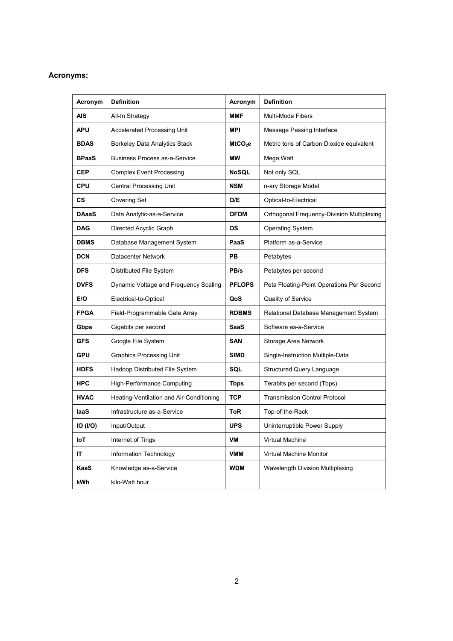## **Acronyms:**

| Acronym      | <b>Definition</b>                        | Acronym       | <b>Definition</b>                          |
|--------------|------------------------------------------|---------------|--------------------------------------------|
| AIS          | All-In Strategy                          | <b>MMF</b>    | Multi-Mode Fibers                          |
| <b>APU</b>   | <b>Accelerated Processing Unit</b>       | <b>MPI</b>    | Message Passing Interface                  |
| <b>BDAS</b>  | Berkeley Data Analytics Stack            | $M1CO2$ e     | Metric tons of Carbon Dioxide equivalent   |
| <b>BPaaS</b> | <b>Business Process as-a-Service</b>     | <b>MW</b>     | Mega Watt                                  |
| <b>CEP</b>   | <b>Complex Event Processing</b>          | <b>NoSQL</b>  | Not only SQL                               |
| <b>CPU</b>   | <b>Central Processing Unit</b>           | <b>NSM</b>    | n-ary Storage Model                        |
| СS           | <b>Covering Set</b>                      | O/E           | Optical-to-Electrical                      |
| <b>DAaaS</b> | Data Analytic-as-a-Service               | <b>OFDM</b>   | Orthogonal Frequency-Division Multiplexing |
| <b>DAG</b>   | Directed Acyclic Graph                   | ΟS            | <b>Operating System</b>                    |
| <b>DBMS</b>  | Database Management System               | PaaS          | Platform as-a-Service                      |
| <b>DCN</b>   | Datacenter Network                       | <b>PB</b>     | Petabytes                                  |
| <b>DFS</b>   | Distributed File System                  | PB/s          | Petabytes per second                       |
| <b>DVFS</b>  | Dynamic Voltage and Frequency Scaling    | <b>PFLOPS</b> | Peta Floating-Point Operations Per Second  |
| E/O          | Electrical-to-Optical                    | QoS           | Quality of Service                         |
| <b>FPGA</b>  | Field-Programmable Gate Array            | <b>RDBMS</b>  | Relational Database Management System      |
| Gbps         | Gigabits per second                      | SaaS          | Software as-a-Service                      |
| <b>GFS</b>   | Google File System                       | <b>SAN</b>    | Storage Area Network                       |
| <b>GPU</b>   | <b>Graphics Processing Unit</b>          | <b>SIMD</b>   | Single-Instruction Multiple-Data           |
| <b>HDFS</b>  | Hadoop Distributed File System           | SQL           | Structured Query Language                  |
| <b>HPC</b>   | <b>High-Performance Computing</b>        | <b>Thps</b>   | Terabits per second (Tbps)                 |
| <b>HVAC</b>  | Heating-Ventilation and Air-Conditioning | <b>TCP</b>    | <b>Transmission Control Protocol</b>       |
| laaS         | Infrastructure as-a-Service              | <b>ToR</b>    | Top-of-the-Rack                            |
| IO (I/O)     | Input/Output                             | <b>UPS</b>    | Uninterruptible Power Supply               |
| loT          | Internet of Tings                        | VM            | Virtual Machine                            |
| IΤ           | Information Technology                   | <b>VMM</b>    | Virtual Machine Monitor                    |
| KaaS         | Knowledge as-a-Service                   | <b>WDM</b>    | Wavelength Division Multiplexing           |
| kWh          | kilo-Watt hour                           |               |                                            |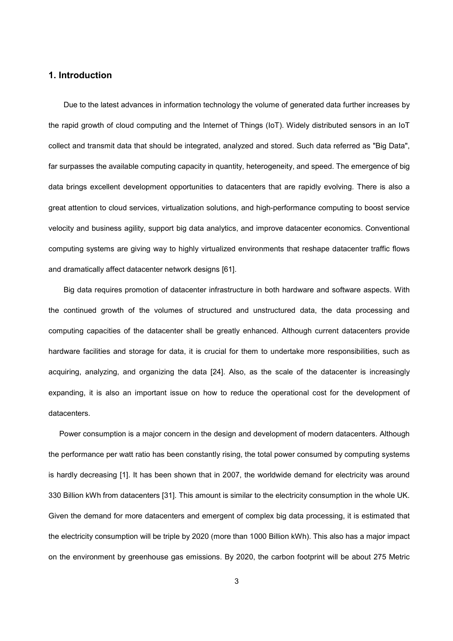## **1. Introduction**

Due to the latest advances in information technology the volume of generated data further increases by the rapid growth of cloud computing and the Internet of Things (IoT). Widely distributed sensors in an IoT collect and transmit data that should be integrated, analyzed and stored. Such data referred as "Big Data", far surpasses the available computing capacity in quantity, heterogeneity, and speed. The emergence of big data brings excellent development opportunities to datacenters that are rapidly evolving. There is also a great attention to cloud services, virtualization solutions, and high-performance computing to boost service velocity and business agility, support big data analytics, and improve datacenter economics. Conventional computing systems are giving way to highly virtualized environments that reshape datacenter traffic flows and dramatically affect datacenter network designs [61].

Big data requires promotion of datacenter infrastructure in both hardware and software aspects. With the continued growth of the volumes of structured and unstructured data, the data processing and computing capacities of the datacenter shall be greatly enhanced. Although current datacenters provide hardware facilities and storage for data, it is crucial for them to undertake more responsibilities, such as acquiring, analyzing, and organizing the data [24]. Also, as the scale of the datacenter is increasingly expanding, it is also an important issue on how to reduce the operational cost for the development of datacenters.

Power consumption is a major concern in the design and development of modern datacenters. Although the performance per watt ratio has been constantly rising, the total power consumed by computing systems is hardly decreasing [1]. It has been shown that in 2007, the worldwide demand for electricity was around 330 Billion kWh from datacenters [31]. This amount is similar to the electricity consumption in the whole UK. Given the demand for more datacenters and emergent of complex big data processing, it is estimated that the electricity consumption will be triple by 2020 (more than 1000 Billion kWh). This also has a major impact on the environment by greenhouse gas emissions. By 2020, the carbon footprint will be about 275 Metric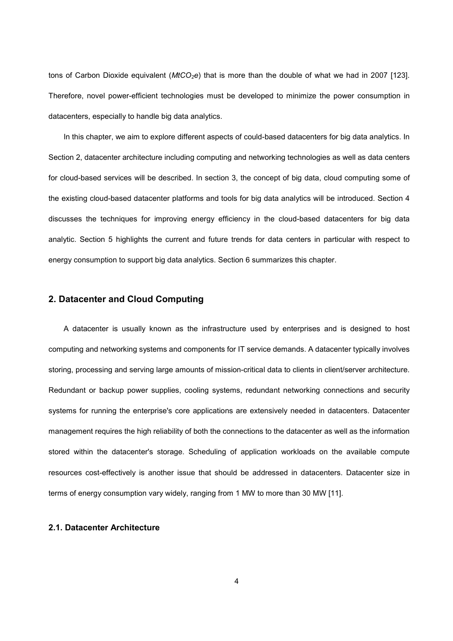tons of Carbon Dioxide equivalent (*MtCO2e*) that is more than the double of what we had in 2007 [123]. Therefore, novel power-efficient technologies must be developed to minimize the power consumption in datacenters, especially to handle big data analytics.

In this chapter, we aim to explore different aspects of could-based datacenters for big data analytics. In Section 2, datacenter architecture including computing and networking technologies as well as data centers for cloud-based services will be described. In section 3, the concept of big data, cloud computing some of the existing cloud-based datacenter platforms and tools for big data analytics will be introduced. Section 4 discusses the techniques for improving energy efficiency in the cloud-based datacenters for big data analytic. Section 5 highlights the current and future trends for data centers in particular with respect to energy consumption to support big data analytics. Section 6 summarizes this chapter.

## **2. Datacenter and Cloud Computing**

A datacenter is usually known as the infrastructure used by enterprises and is designed to host computing and networking systems and components for IT service demands. A datacenter typically involves storing, processing and serving large amounts of mission-critical data to clients in client/server architecture. Redundant or backup power supplies, cooling systems, redundant networking connections and security systems for running the enterprise's core applications are extensively needed in datacenters. Datacenter management requires the high reliability of both the connections to the datacenter as well as the information stored within the datacenter's storage. Scheduling of application workloads on the available compute resources cost-effectively is another issue that should be addressed in datacenters. Datacenter size in terms of energy consumption vary widely, ranging from 1 MW to more than 30 MW [11].

#### **2.1. Datacenter Architecture**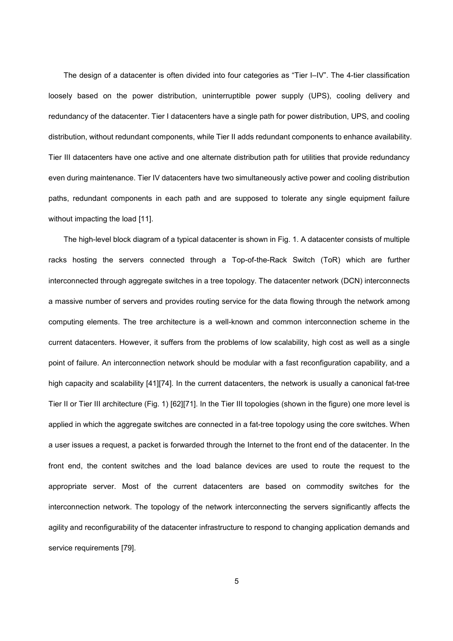The design of a datacenter is often divided into four categories as "Tier I–IV". The 4-tier classification loosely based on the power distribution, uninterruptible power supply (UPS), cooling delivery and redundancy of the datacenter. Tier I datacenters have a single path for power distribution, UPS, and cooling distribution, without redundant components, while Tier II adds redundant components to enhance availability. Tier III datacenters have one active and one alternate distribution path for utilities that provide redundancy even during maintenance. Tier IV datacenters have two simultaneously active power and cooling distribution paths, redundant components in each path and are supposed to tolerate any single equipment failure without impacting the load [11].

The high-level block diagram of a typical datacenter is shown in Fig. 1. A datacenter consists of multiple racks hosting the servers connected through a Top-of-the-Rack Switch (ToR) which are further interconnected through aggregate switches in a tree topology. The datacenter network (DCN) interconnects a massive number of servers and provides routing service for the data flowing through the network among computing elements. The tree architecture is a well-known and common interconnection scheme in the current datacenters. However, it suffers from the problems of low scalability, high cost as well as a single point of failure. An interconnection network should be modular with a fast reconfiguration capability, and a high capacity and scalability [41][74]. In the current datacenters, the network is usually a canonical fat-tree Tier II or Tier III architecture ( Fig. 1) [62] [71]. In the Tier III topologies (shown in the figure) one more level is applied in which the aggregate switches are connected in a fat-tree topology using the core switches. When a user issues a request, a packet is forwarded through the Internet to the front end of the datacenter. In the front end, the content switches and the load balance devices are used to route the request to the appropriate server. Most of the current datacenters are based on commodity switches for the interconnection network. The topology of the network interconnecting the servers significantly affects the agility and reconfigurability of the datacenter infrastructure to respond to changing application demands and service requirements [79].

5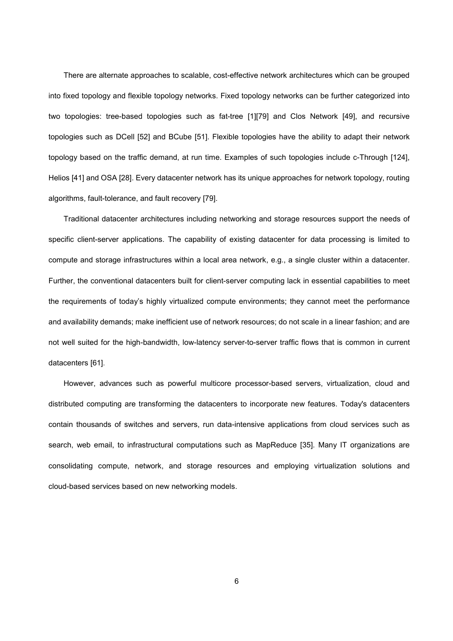There are alternate approaches to scalable, cost-effective network architectures which can be grouped into fixed topology and flexible topology networks. Fixed topology networks can be further categorized into two topologies: tree-based topologies such as fat-tree [1] [79] and Clos Network [49], and recursive topologies such as DCell [52] and BCube [51]. Flexible topologies have the ability to adapt their network topology based on the traffic demand, at run time. Examples of such topologies include c-Through [124], Helios [41] and OSA [28]. Every datacenter network has its unique approaches for network topology, routing algorithms, fault-tolerance, and fault recovery [79].

Traditional datacenter architectures including networking and storage resources support the needs of specific client-server applications. The capability of existing datacenter for data processing is limited to compute and storage infrastructures within a local area network, e.g., a single cluster within a datacenter. Further, the conventional datacenters built for client-server computing lack in essential capabilities to meet the requirements of today's highly virtualized compute environments; they cannot meet the performance and availability demands; make inefficient use of network resources; do not scale in a linear fashion; and are not well suited for the high-bandwidth, low-latency server-to-server traffic flows that is common in current datacenters [61].

However, advances such as powerful multicore processor-based servers, virtualization, cloud and distributed computing are transforming the datacenters to incorporate new features. Today's datacenters contain thousands of switches and servers, run data-intensive applications from cloud services such as search, web email, to infrastructural computations such as MapReduce [35]. Many IT organizations are consolidating compute, network, and storage resources and employing virtualization solutions and cloud-based services based on new networking models.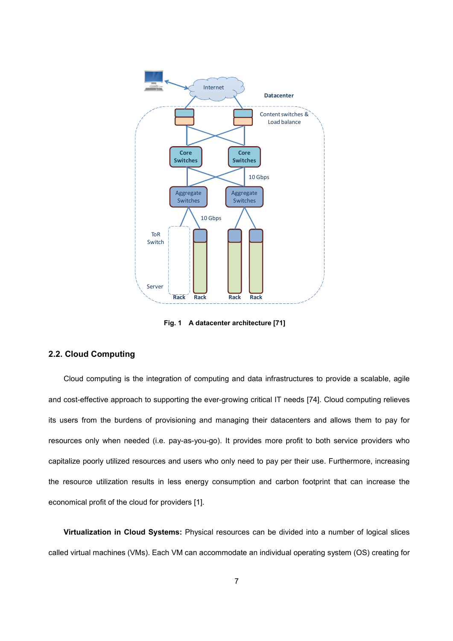

**Fig. 1 A datacenter architecture [71]** 

## **2.2. Cloud Computing**

Cloud computing is the integration of computing and data infrastructures to provide a scalable, agile and cost-effective approach to supporting the ever-growing critical IT needs [74]. Cloud computing relieves its users from the burdens of provisioning and managing their datacenters and allows them to pay for resources only when needed (i.e. pay-as-you-go). It provides more profit to both service providers who capitalize poorly utilized resources and users who only need to pay per their use. Furthermore, increasing the resource utilization results in less energy consumption and carbon footprint that can increase the economical profit of the cloud for providers [1].

**Virtualization in Cloud Systems:** Physical resources can be divided into a number of logical slices called virtual machines (VMs). Each VM can accommodate an individual operating system (OS) creating for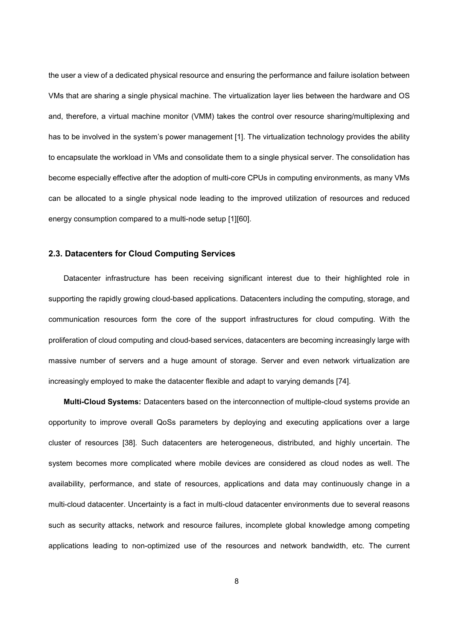the user a view of a dedicated physical resource and ensuring the performance and failure isolation between VMs that are sharing a single physical machine. The virtualization layer lies between the hardware and OS and, therefore, a virtual machine monitor (VMM) takes the control over resource sharing/multiplexing and has to be involved in the system's power management [1]. The virtualization technology provides the ability to encapsulate the workload in VMs and consolidate them to a single physical server. The consolidation has become especially effective after the adoption of multi-core CPUs in computing environments, as many VMs can be allocated to a single physical node leading to the improved utilization of resources and reduced energy consumption compared to a multi-node setup [1] [60].

## **2.3. Datacenters for Cloud Computing Services**

Datacenter infrastructure has been receiving significant interest due to their highlighted role in supporting the rapidly growing cloud-based applications. Datacenters including the computing, storage, and communication resources form the core of the support infrastructures for cloud computing. With the proliferation of cloud computing and cloud-based services, datacenters are becoming increasingly large with massive number of servers and a huge amount of storage. Server and even network virtualization are increasingly employed to make the datacenter flexible and adapt to varying demands [74].

**Multi-Cloud Systems:** Datacenters based on the interconnection of multiple-cloud systems provide an opportunity to improve overall QoSs parameters by deploying and executing applications over a large cluster of resources [38]. Such datacenters are heterogeneous, distributed, and highly uncertain. The system becomes more complicated where mobile devices are considered as cloud nodes as well. The availability, performance, and state of resources, applications and data may continuously change in a multi-cloud datacenter. Uncertainty is a fact in multi-cloud datacenter environments due to several reasons such as security attacks, network and resource failures, incomplete global knowledge among competing applications leading to non-optimized use of the resources and network bandwidth, etc. The current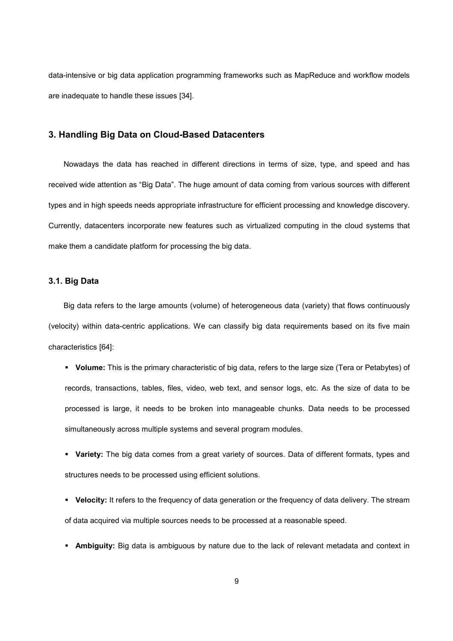data-intensive or big data application programming frameworks such as MapReduce and workflow models are inadequate to handle these issues [34].

## **3. Handling Big Data on Cloud-Based Datacenters**

Nowadays the data has reached in different directions in terms of size, type, and speed and has received wide attention as "Big Data". The huge amount of data coming from various sources with different types and in high speeds needs appropriate infrastructure for efficient processing and knowledge discovery. Currently, datacenters incorporate new features such as virtualized computing in the cloud systems that make them a candidate platform for processing the big data.

## **3.1. Big Data**

Big data refers to the large amounts (volume) of heterogeneous data (variety) that flows continuously (velocity) within data-centric applications. We can classify big data requirements based on its five main characteristics [64]:

- **Volume:** This is the primary characteristic of big data, refers to the large size (Tera or Petabytes) of records, transactions, tables, files, video, web text, and sensor logs, etc. As the size of data to be processed is large, it needs to be broken into manageable chunks. Data needs to be processed simultaneously across multiple systems and several program modules.
- **Variety:** The big data comes from a great variety of sources. Data of different formats, types and structures needs to be processed using efficient solutions.
- **Velocity:** It refers to the frequency of data generation or the frequency of data delivery. The stream of data acquired via multiple sources needs to be processed at a reasonable speed.
- **Ambiguity:** Big data is ambiguous by nature due to the lack of relevant metadata and context in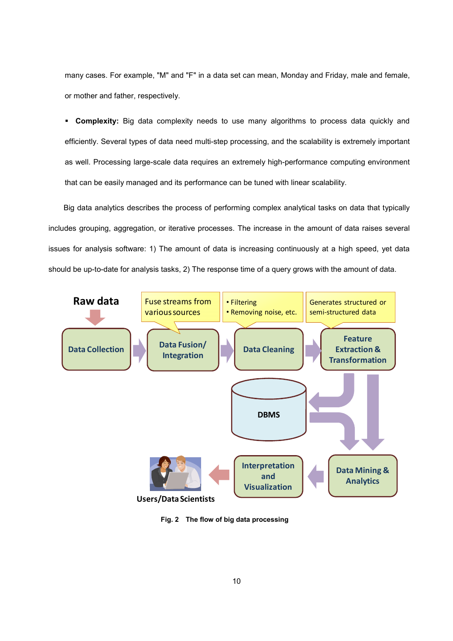many cases. For example, "M" and "F" in a data set can mean, Monday and Friday, male and female, or mother and father, respectively.

 **Complexity:** Big data complexity needs to use many algorithms to process data quickly and efficiently. Several types of data need multi-step processing, and the scalability is extremely important as well. Processing large-scale data requires an extremely high-performance computing environment that can be easily managed and its performance can be tuned with linear scalability.

Big data analytics describes the process of performing complex analytical tasks on data that typically includes grouping, aggregation, or iterative processes. The increase in the amount of data raises several issues for analysis software: 1) The amount of data is increasing continuously at a high speed, yet data should be up-to-date for analysis tasks, 2) The response time of a query grows with the amount of data.



**Fig. 2 The flow of big data processing**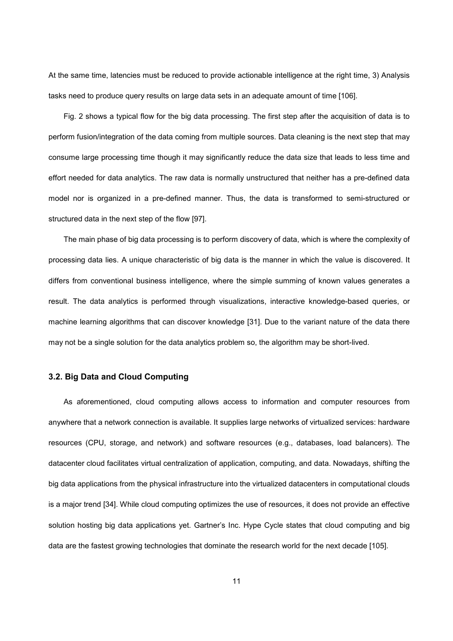At the same time, latencies must be reduced to provide actionable intelligence at the right time, 3) Analysis tasks need to produce query results on large data sets in an adequate amount of time [106].

 Fig. 2 shows a typical flow for the big data processing. The first step after the acquisition of data is to perform fusion/integration of the data coming from multiple sources. Data cleaning is the next step that may consume large processing time though it may significantly reduce the data size that leads to less time and effort needed for data analytics. The raw data is normally unstructured that neither has a pre-defined data model nor is organized in a pre-defined manner. Thus, the data is transformed to semi-structured or structured data in the next step of the flow [97].

The main phase of big data processing is to perform discovery of data, which is where the complexity of processing data lies. A unique characteristic of big data is the manner in which the value is discovered. It differs from conventional business intelligence, where the simple summing of known values generates a result. The data analytics is performed through visualizations, interactive knowledge-based queries, or machine learning algorithms that can discover knowledge [31]. Due to the variant nature of the data there may not be a single solution for the data analytics problem so, the algorithm may be short-lived.

#### **3.2. Big Data and Cloud Computing**

As aforementioned, cloud computing allows access to information and computer resources from anywhere that a network connection is available. It supplies large networks of virtualized services: hardware resources (CPU, storage, and network) and software resources (e.g., databases, load balancers). The datacenter cloud facilitates virtual centralization of application, computing, and data. Nowadays, shifting the big data applications from the physical infrastructure into the virtualized datacenters in computational clouds is a major trend [34]. While cloud computing optimizes the use of resources, it does not provide an effective solution hosting big data applications yet. Gartner's Inc. Hype Cycle states that cloud computing and big data are the fastest growing technologies that dominate the research world for the next decade [105].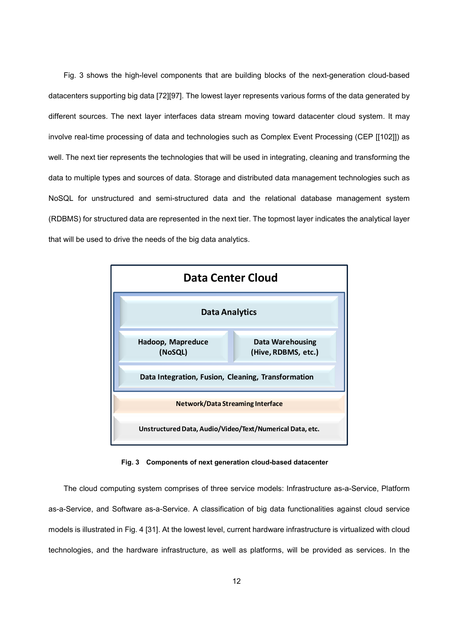Fig. 3 shows the high-level components that are building blocks of the next-generation cloud-based datacenters supporting big data [72] [97]. The lowest layer represents various forms of the data generated by different sources. The next layer interfaces data stream moving toward datacenter cloud system. It may involve real-time processing of data and technologies such as Complex Event Processing (CEP [[102]]) as well. The next tier represents the technologies that will be used in integrating, cleaning and transforming the data to multiple types and sources of data. Storage and distributed data management technologies such as NoSQL for unstructured and semi-structured data and the relational database management system (RDBMS) for structured data are represented in the next tier. The topmost layer indicates the analytical layer that will be used to drive the needs of the big data analytics.



**Fig. 3 Components of next generation cloud-based datacenter** 

The cloud computing system comprises of three service models: Infrastructure as-a-Service, Platform as-a-Service, and Software as-a-Service. A classification of big data functionalities against cloud service models is illustrated in Fig. 4 [31]. At the lowest level, current hardware infrastructure is virtualized with cloud technologies, and the hardware infrastructure, as well as platforms, will be provided as services. In the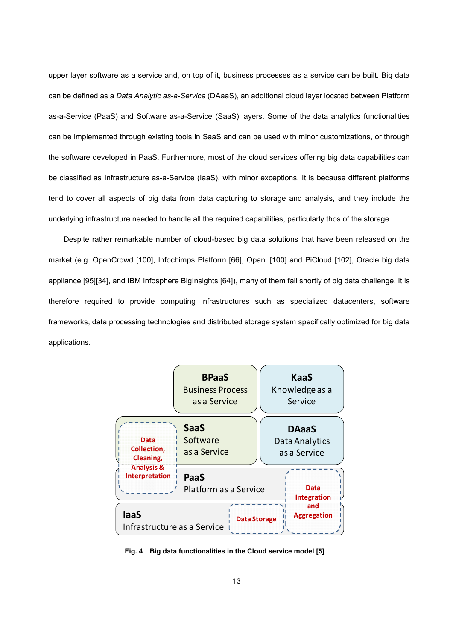upper layer software as a service and, on top of it, business processes as a service can be built. Big data can be defined as a *Data Analytic as-a-Service* (DAaaS), an additional cloud layer located between Platform as-a-Service (PaaS) and Software as-a-Service (SaaS) layers. Some of the data analytics functionalities can be implemented through existing tools in SaaS and can be used with minor customizations, or through the software developed in PaaS. Furthermore, most of the cloud services offering big data capabilities can be classified as Infrastructure as-a-Service (IaaS), with minor exceptions. It is because different platforms tend to cover all aspects of big data from data capturing to storage and analysis, and they include the underlying infrastructure needed to handle all the required capabilities, particularly thos of the storage.

Despite rather remarkable number of cloud-based big data solutions that have been released on the market (e.g. OpenCrowd [100], Infochimps Platform [66], Opani [100] and PiCloud [102], Oracle big data appliance [95] [34], and IBM Infosphere BigInsights [64]), many of them fall shortly of big data challenge. It is therefore required to provide computing infrastructures such as specialized datacenters, software frameworks, data processing technologies and distributed storage system specifically optimized for big data applications.



**Fig. 4 Big data functionalities in the Cloud service model [5]**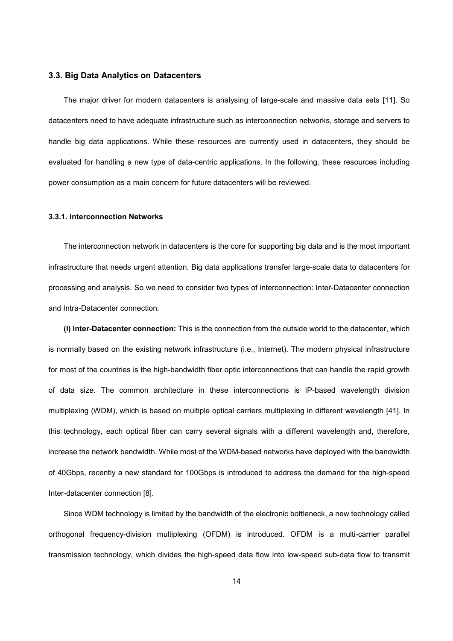## **3.3. Big Data Analytics on Datacenters**

The major driver for modern datacenters is analysing of large-scale and massive data sets [11]. So datacenters need to have adequate infrastructure such as interconnection networks, storage and servers to handle big data applications. While these resources are currently used in datacenters, they should be evaluated for handling a new type of data-centric applications. In the following, these resources including power consumption as a main concern for future datacenters will be reviewed.

#### **3.3.1. Interconnection Networks**

The interconnection network in datacenters is the core for supporting big data and is the most important infrastructure that needs urgent attention. Big data applications transfer large-scale data to datacenters for processing and analysis. So we need to consider two types of interconnection: Inter-Datacenter connection and Intra-Datacenter connection.

**(i) Inter-Datacenter connection:** This is the connection from the outside world to the datacenter, which is normally based on the existing network infrastructure (i.e., Internet). The modern physical infrastructure for most of the countries is the high-bandwidth fiber optic interconnections that can handle the rapid growth of data size. The common architecture in these interconnections is IP-based wavelength division multiplexing (WDM), which is based on multiple optical carriers multiplexing in different wavelength [41]. In this technology, each optical fiber can carry several signals with a different wavelength and, therefore, increase the network bandwidth. While most of the WDM-based networks have deployed with the bandwidth of 40Gbps, recently a new standard for 100Gbps is introduced to address the demand for the high-speed Inter-datacenter connection [8].

Since WDM technology is limited by the bandwidth of the electronic bottleneck, a new technology called orthogonal frequency-division multiplexing (OFDM) is introduced. OFDM is a multi-carrier parallel transmission technology, which divides the high-speed data flow into low-speed sub-data flow to transmit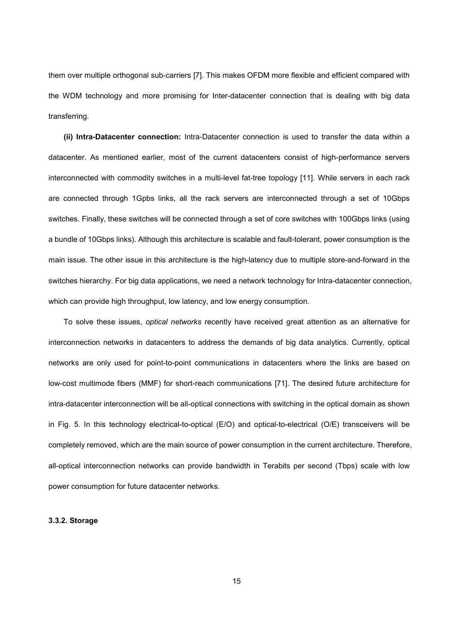them over multiple orthogonal sub-carriers [7]. This makes OFDM more flexible and efficient compared with the WDM technology and more promising for Inter-datacenter connection that is dealing with big data transferring.

**(ii) Intra-Datacenter connection:** Intra-Datacenter connection is used to transfer the data within a datacenter. As mentioned earlier, most of the current datacenters consist of high-performance servers interconnected with commodity switches in a multi-level fat-tree topology [11]. While servers in each rack are connected through 1Gpbs links, all the rack servers are interconnected through a set of 10Gbps switches. Finally, these switches will be connected through a set of core switches with 100Gbps links (using a bundle of 10Gbps links). Although this architecture is scalable and fault-tolerant, power consumption is the main issue. The other issue in this architecture is the high-latency due to multiple store-and-forward in the switches hierarchy. For big data applications, we need a network technology for Intra-datacenter connection, which can provide high throughput, low latency, and low energy consumption.

To solve these issues, *optical networks* recently have received great attention as an alternative for interconnection networks in datacenters to address the demands of big data analytics. Currently, optical networks are only used for point-to-point communications in datacenters where the links are based on low-cost multimode fibers (MMF) for short-reach communications [71]. The desired future architecture for intra-datacenter interconnection will be all-optical connections with switching in the optical domain as shown in Fig. 5. In this technology electrical-to-optical (E/O) and optical-to-electrical (O/E) transceivers will be completely removed, which are the main source of power consumption in the current architecture. Therefore, all-optical interconnection networks can provide bandwidth in Terabits per second (Tbps) scale with low power consumption for future datacenter networks.

#### **3.3.2. Storage**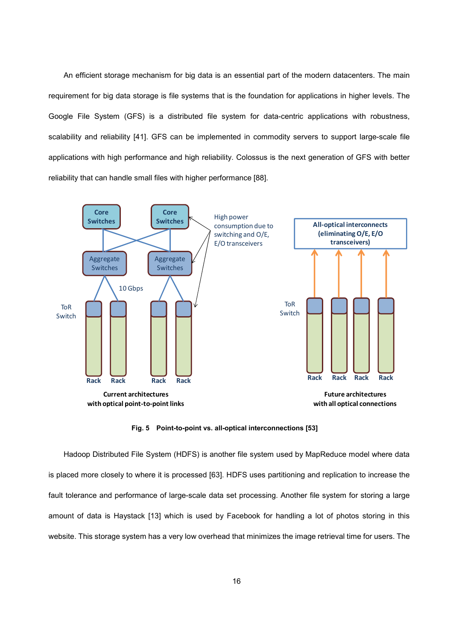An efficient storage mechanism for big data is an essential part of the modern datacenters. The main requirement for big data storage is file systems that is the foundation for applications in higher levels. The Google File System (GFS) is a distributed file system for data-centric applications with robustness, scalability and reliability [41]. GFS can be implemented in commodity servers to support large-scale file applications with high performance and high reliability. Colossus is the next generation of GFS with better reliability that can handle small files with higher performance [88].



**Fig. 5 Point-to-point vs. all-optical interconnections [53]** 

Hadoop Distributed File System (HDFS) is another file system used by MapReduce model where data is placed more closely to where it is processed [63]. HDFS uses partitioning and replication to increase the fault tolerance and performance of large-scale data set processing. Another file system for storing a large amount of data is Haystack [13] which is used by Facebook for handling a lot of photos storing in this website. This storage system has a very low overhead that minimizes the image retrieval time for users. The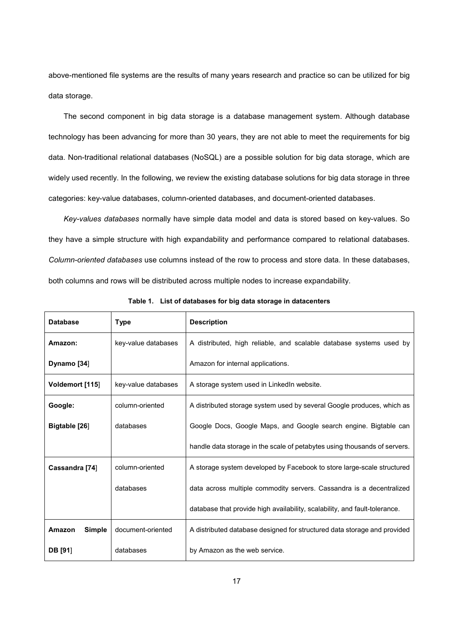above-mentioned file systems are the results of many years research and practice so can be utilized for big data storage.

The second component in big data storage is a database management system. Although database technology has been advancing for more than 30 years, they are not able to meet the requirements for big data. Non-traditional relational databases (NoSQL) are a possible solution for big data storage, which are widely used recently. In the following, we review the existing database solutions for big data storage in three categories: key-value databases, column-oriented databases, and document-oriented databases.

*Key-values databases* normally have simple data model and data is stored based on key-values. So they have a simple structure with high expandability and performance compared to relational databases. *Column-oriented databases* use columns instead of the row to process and store data. In these databases, both columns and rows will be distributed across multiple nodes to increase expandability.

| <b>Database</b>         | <b>Type</b>         | <b>Description</b>                                                         |  |
|-------------------------|---------------------|----------------------------------------------------------------------------|--|
| Amazon:                 | key-value databases | A distributed, high reliable, and scalable database systems used by        |  |
| Dynamo [34]             |                     | Amazon for internal applications.                                          |  |
| Voldemort [115]         | key-value databases | A storage system used in LinkedIn website.                                 |  |
| Google:                 | column-oriented     | A distributed storage system used by several Google produces, which as     |  |
| Bigtable [26]           | databases           | Google Docs, Google Maps, and Google search engine. Bigtable can           |  |
|                         |                     | handle data storage in the scale of petabytes using thousands of servers.  |  |
| Cassandra [74]          | column-oriented     | A storage system developed by Facebook to store large-scale structured     |  |
|                         | databases           | data across multiple commodity servers. Cassandra is a decentralized       |  |
|                         |                     | database that provide high availability, scalability, and fault-tolerance. |  |
| <b>Simple</b><br>Amazon | document-oriented   | A distributed database designed for structured data storage and provided   |  |
| <b>DB</b> [91]          | databases           | by Amazon as the web service.                                              |  |

**Table 1. List of databases for big data storage in datacenters**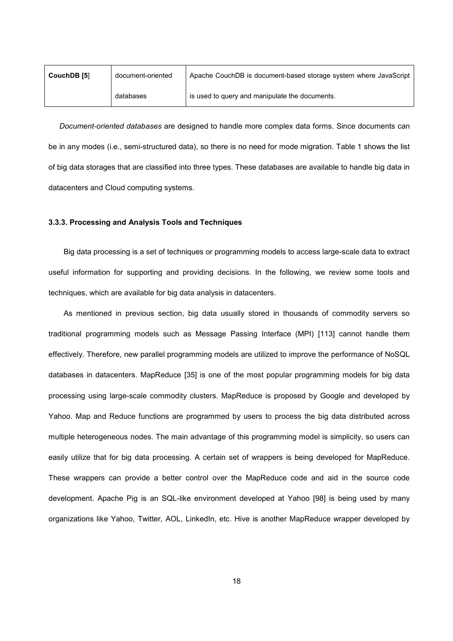| CouchDB [5] | document-oriented | Apache CouchDB is document-based storage system where JavaScript |
|-------------|-------------------|------------------------------------------------------------------|
|             | databases         | is used to query and manipulate the documents.                   |

*Document-oriented databases* are designed to handle more complex data forms. Since documents can be in any modes (i.e., semi-structured data), so there is no need for mode migration. Table 1 shows the list of big data storages that are classified into three types. These databases are available to handle big data in datacenters and Cloud computing systems.

#### **3.3.3. Processing and Analysis Tools and Techniques**

Big data processing is a set of techniques or programming models to access large-scale data to extract useful information for supporting and providing decisions. In the following, we review some tools and techniques, which are available for big data analysis in datacenters.

As mentioned in previous section, big data usually stored in thousands of commodity servers so traditional programming models such as Message Passing Interface (MPI) [113] cannot handle them effectively. Therefore, new parallel programming models are utilized to improve the performance of NoSQL databases in datacenters. MapReduce [35] is one of the most popular programming models for big data processing using large-scale commodity clusters. MapReduce is proposed by Google and developed by Yahoo. Map and Reduce functions are programmed by users to process the big data distributed across multiple heterogeneous nodes. The main advantage of this programming model is simplicity, so users can easily utilize that for big data processing. A certain set of wrappers is being developed for MapReduce. These wrappers can provide a better control over the MapReduce code and aid in the source code development. Apache Pig is an SQL-like environment developed at Yahoo [98] is being used by many organizations like Yahoo, Twitter, AOL, LinkedIn, etc. Hive is another MapReduce wrapper developed by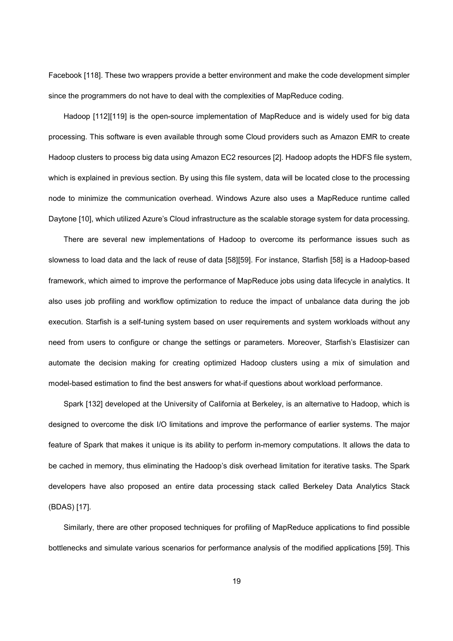Facebook [118]. These two wrappers provide a better environment and make the code development simpler since the programmers do not have to deal with the complexities of MapReduce coding.

Hadoop [112][119] is the open-source implementation of MapReduce and is widely used for big data processing. This software is even available through some Cloud providers such as Amazon EMR to create Hadoop clusters to process big data using Amazon EC2 resources [2]. Hadoop adopts the HDFS file system, which is explained in previous section. By using this file system, data will be located close to the processing node to minimize the communication overhead. Windows Azure also uses a MapReduce runtime called Daytone [10], which utilized Azure's Cloud infrastructure as the scalable storage system for data processing.

There are several new implementations of Hadoop to overcome its performance issues such as slowness to load data and the lack of reuse of data [58] [59]. For instance, Starfish [58] is a Hadoop-based framework, which aimed to improve the performance of MapReduce jobs using data lifecycle in analytics. It also uses job profiling and workflow optimization to reduce the impact of unbalance data during the job execution. Starfish is a self-tuning system based on user requirements and system workloads without any need from users to configure or change the settings or parameters. Moreover, Starfish's Elastisizer can automate the decision making for creating optimized Hadoop clusters using a mix of simulation and model-based estimation to find the best answers for what-if questions about workload performance.

Spark [132] developed at the University of California at Berkeley, is an alternative to Hadoop, which is designed to overcome the disk I/O limitations and improve the performance of earlier systems. The major feature of Spark that makes it unique is its ability to perform in-memory computations. It allows the data to be cached in memory, thus eliminating the Hadoop's disk overhead limitation for iterative tasks. The Spark developers have also proposed an entire data processing stack called Berkeley Data Analytics Stack (BDAS) [17].

Similarly, there are other proposed techniques for profiling of MapReduce applications to find possible bottlenecks and simulate various scenarios for performance analysis of the modified applications [59]. This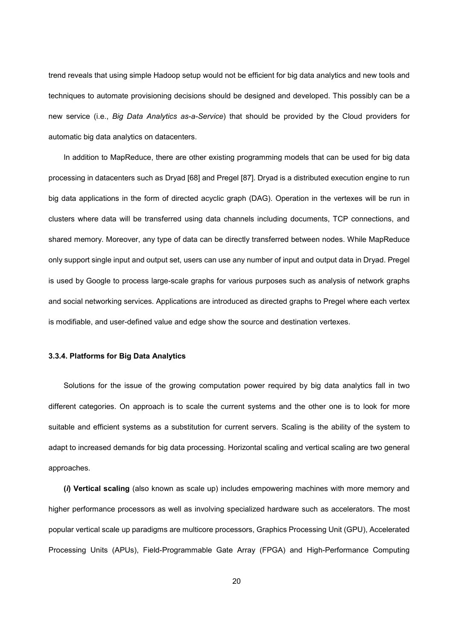trend reveals that using simple Hadoop setup would not be efficient for big data analytics and new tools and techniques to automate provisioning decisions should be designed and developed. This possibly can be a new service (i.e., *Big Data Analytics as-a-Service*) that should be provided by the Cloud providers for automatic big data analytics on datacenters.

In addition to MapReduce, there are other existing programming models that can be used for big data processing in datacenters such as Dryad [68] and Pregel [87]. Dryad is a distributed execution engine to run big data applications in the form of directed acyclic graph (DAG). Operation in the vertexes will be run in clusters where data will be transferred using data channels including documents, TCP connections, and shared memory. Moreover, any type of data can be directly transferred between nodes. While MapReduce only support single input and output set, users can use any number of input and output data in Dryad. Pregel is used by Google to process large-scale graphs for various purposes such as analysis of network graphs and social networking services. Applications are introduced as directed graphs to Pregel where each vertex is modifiable, and user-defined value and edge show the source and destination vertexes.

#### **3.3.4. Platforms for Big Data Analytics**

Solutions for the issue of the growing computation power required by big data analytics fall in two different categories. On approach is to scale the current systems and the other one is to look for more suitable and efficient systems as a substitution for current servers. Scaling is the ability of the system to adapt to increased demands for big data processing. Horizontal scaling and vertical scaling are two general approaches.

**(***i***) Vertical scaling** (also known as scale up) includes empowering machines with more memory and higher performance processors as well as involving specialized hardware such as accelerators. The most popular vertical scale up paradigms are multicore processors, Graphics Processing Unit (GPU), Accelerated Processing Units (APUs), Field-Programmable Gate Array (FPGA) and High-Performance Computing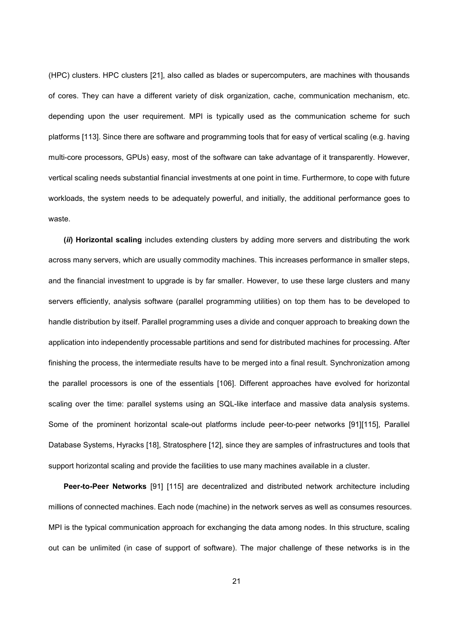(HPC) clusters. HPC clusters [21], also called as blades or supercomputers, are machines with thousands of cores. They can have a different variety of disk organization, cache, communication mechanism, etc. depending upon the user requirement. MPI is typically used as the communication scheme for such platforms [113]. Since there are software and programming tools that for easy of vertical scaling (e.g. having multi-core processors, GPUs) easy, most of the software can take advantage of it transparently. However, vertical scaling needs substantial financial investments at one point in time. Furthermore, to cope with future workloads, the system needs to be adequately powerful, and initially, the additional performance goes to waste.

**(***ii***) Horizontal scaling** includes extending clusters by adding more servers and distributing the work across many servers, which are usually commodity machines. This increases performance in smaller steps, and the financial investment to upgrade is by far smaller. However, to use these large clusters and many servers efficiently, analysis software (parallel programming utilities) on top them has to be developed to handle distribution by itself. Parallel programming uses a divide and conquer approach to breaking down the application into independently processable partitions and send for distributed machines for processing. After finishing the process, the intermediate results have to be merged into a final result. Synchronization among the parallel processors is one of the essentials [106]. Different approaches have evolved for horizontal scaling over the time: parallel systems using an SQL-like interface and massive data analysis systems. Some of the prominent horizontal scale-out platforms include peer-to-peer networks [91][115], Parallel Database Systems, Hyracks [18], Stratosphere [12], since they are samples of infrastructures and tools that support horizontal scaling and provide the facilities to use many machines available in a cluster.

**Peer-to-Peer Networks** [91] [115] are decentralized and distributed network architecture including millions of connected machines. Each node (machine) in the network serves as well as consumes resources. MPI is the typical communication approach for exchanging the data among nodes. In this structure, scaling out can be unlimited (in case of support of software). The major challenge of these networks is in the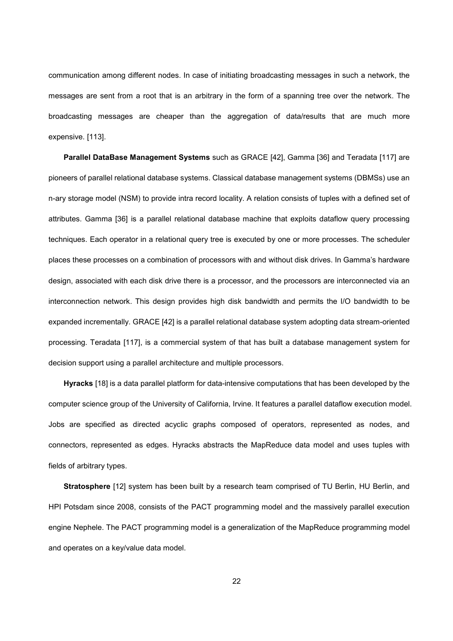communication among different nodes. In case of initiating broadcasting messages in such a network, the messages are sent from a root that is an arbitrary in the form of a spanning tree over the network. The broadcasting messages are cheaper than the aggregation of data/results that are much more expensive. [113].

**Parallel DataBase Management Systems** such as GRACE [42], Gamma [36] and Teradata [117] are pioneers of parallel relational database systems. Classical database management systems (DBMSs) use an n-ary storage model (NSM) to provide intra record locality. A relation consists of tuples with a defined set of attributes. Gamma [36] is a parallel relational database machine that exploits dataflow query processing techniques. Each operator in a relational query tree is executed by one or more processes. The scheduler places these processes on a combination of processors with and without disk drives. In Gamma's hardware design, associated with each disk drive there is a processor, and the processors are interconnected via an interconnection network. This design provides high disk bandwidth and permits the I/O bandwidth to be expanded incrementally. GRACE [42] is a parallel relational database system adopting data stream-oriented processing. Teradata [117], is a commercial system of that has built a database management system for decision support using a parallel architecture and multiple processors.

**Hyracks** [18] is a data parallel platform for data-intensive computations that has been developed by the computer science group of the University of California, Irvine. It features a parallel dataflow execution model. Jobs are specified as directed acyclic graphs composed of operators, represented as nodes, and connectors, represented as edges. Hyracks abstracts the MapReduce data model and uses tuples with fields of arbitrary types.

**Stratosphere** [12] system has been built by a research team comprised of TU Berlin, HU Berlin, and HPI Potsdam since 2008, consists of the PACT programming model and the massively parallel execution engine Nephele. The PACT programming model is a generalization of the MapReduce programming model and operates on a key/value data model.

22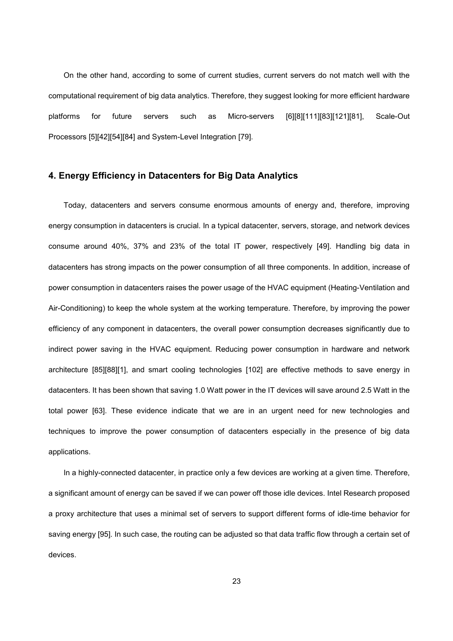On the other hand, according to some of current studies, current servers do not match well with the computational requirement of big data analytics. Therefore, they suggest looking for more efficient hardware platforms for future servers such as Micro-servers [6][8][1111][83][121][81], Scale-Out Processors [5] [42] [54] [84] and System-Level Integration [79].

## **4. Energy Efficiency in Datacenters for Big Data Analytics**

Today, datacenters and servers consume enormous amounts of energy and, therefore, improving energy consumption in datacenters is crucial. In a typical datacenter, servers, storage, and network devices consume around 40%, 37% and 23% of the total IT power, respectively [49]. Handling big data in datacenters has strong impacts on the power consumption of all three components. In addition, increase of power consumption in datacenters raises the power usage of the HVAC equipment (Heating-Ventilation and Air-Conditioning) to keep the whole system at the working temperature. Therefore, by improving the power efficiency of any component in datacenters, the overall power consumption decreases significantly due to indirect power saving in the HVAC equipment. Reducing power consumption in hardware and network architecture [85][88][1], and smart cooling technologies [102] are effective methods to save energy in datacenters. It has been shown that saving 1.0 Watt power in the IT devices will save around 2.5 Watt in the total power [63]. These evidence indicate that we are in an urgent need for new technologies and techniques to improve the power consumption of datacenters especially in the presence of big data applications.

In a highly-connected datacenter, in practice only a few devices are working at a given time. Therefore, a significant amount of energy can be saved if we can power off those idle devices. Intel Research proposed a proxy architecture that uses a minimal set of servers to support different forms of idle-time behavior for saving energy [95]. In such case, the routing can be adjusted so that data traffic flow through a certain set of devices.

23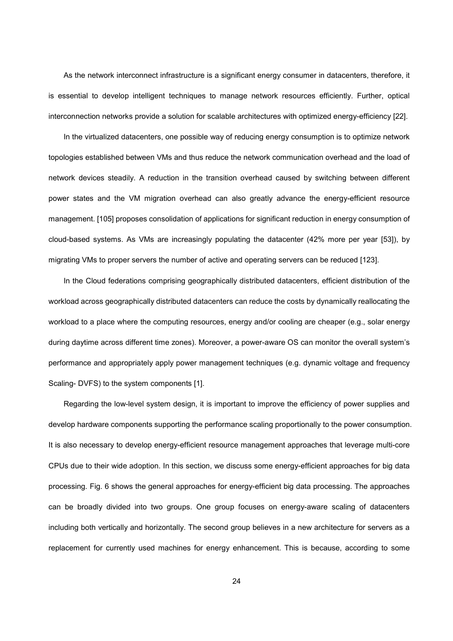As the network interconnect infrastructure is a significant energy consumer in datacenters, therefore, it is essential to develop intelligent techniques to manage network resources efficiently. Further, optical interconnection networks provide a solution for scalable architectures with optimized energy-efficiency [22].

In the virtualized datacenters, one possible way of reducing energy consumption is to optimize network topologies established between VMs and thus reduce the network communication overhead and the load of network devices steadily. A reduction in the transition overhead caused by switching between different power states and the VM migration overhead can also greatly advance the energy-efficient resource management. [105] proposes consolidation of applications for significant reduction in energy consumption of cloud-based systems. As VMs are increasingly populating the datacenter (42% more per year [53]), by migrating VMs to proper servers the number of active and operating servers can be reduced [123].

In the Cloud federations comprising geographically distributed datacenters, efficient distribution of the workload across geographically distributed datacenters can reduce the costs by dynamically reallocating the workload to a place where the computing resources, energy and/or cooling are cheaper (e.g., solar energy during daytime across different time zones). Moreover, a power-aware OS can monitor the overall system's performance and appropriately apply power management techniques (e.g. dynamic voltage and frequency Scaling- DVFS) to the system components [1].

Regarding the low-level system design, it is important to improve the efficiency of power supplies and develop hardware components supporting the performance scaling proportionally to the power consumption. It is also necessary to develop energy-efficient resource management approaches that leverage multi-core CPUs due to their wide adoption. In this section, we discuss some energy-efficient approaches for big data processing. Fig. 6 shows the general approaches for energy-efficient big data processing. The approaches can be broadly divided into two groups. One group focuses on energy-aware scaling of datacenters including both vertically and horizontally. The second group believes in a new architecture for servers as a replacement for currently used machines for energy enhancement. This is because, according to some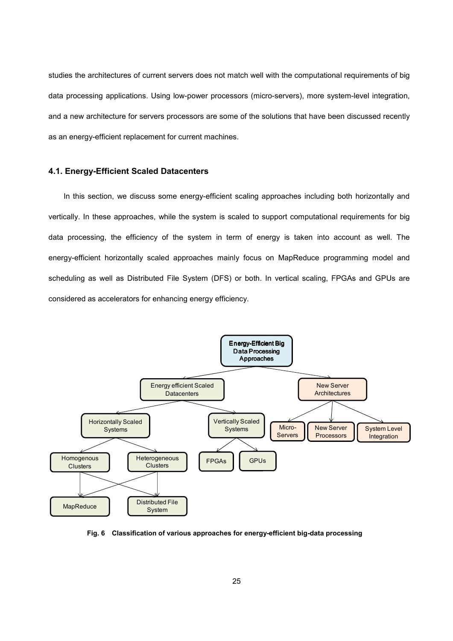studies the architectures of current servers does not match well with the computational requirements of big data processing applications. Using low-power processors (micro-servers), more system-level integration, and a new architecture for servers processors are some of the solutions that have been discussed recently as an energy-efficient replacement for current machines.

#### **4.1. Energy-Efficient Scaled Datacenters**

In this section, we discuss some energy-efficient scaling approaches including both horizontally and vertically. In these approaches, while the system is scaled to support computational requirements for big data processing, the efficiency of the system in term of energy is taken into account as well. The energy-efficient horizontally scaled approaches mainly focus on MapReduce programming model and scheduling as well as Distributed File System (DFS) or both. In vertical scaling, FPGAs and GPUs are considered as accelerators for enhancing energy efficiency.



**Fig. 6 Classification of various approaches for energy-efficient big-data processing**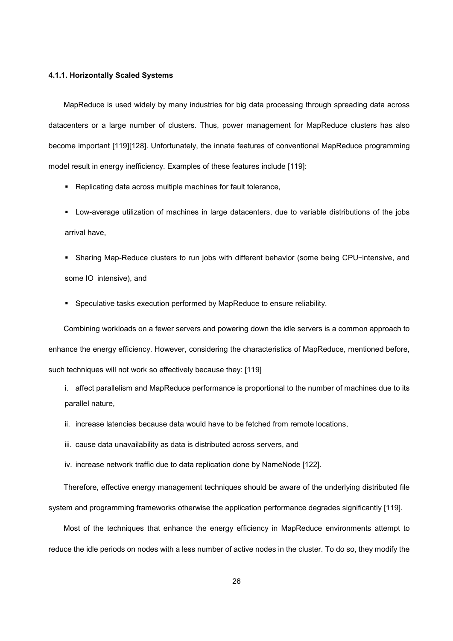#### **4.1.1. Horizontally Scaled Systems**

MapReduce is used widely by many industries for big data processing through spreading data across datacenters or a large number of clusters. Thus, power management for MapReduce clusters has also become important [119][128]. Unfortunately, the innate features of conventional MapReduce programming model result in energy inefficiency. Examples of these features include [119]:

- Replicating data across multiple machines for fault tolerance,
- Low-average utilization of machines in large datacenters, due to variable distributions of the jobs arrival have,
- Sharing Map-Reduce clusters to run jobs with different behavior (some being CPU-intensive, and some IO-intensive), and
- Speculative tasks execution performed by MapReduce to ensure reliability.

Combining workloads on a fewer servers and powering down the idle servers is a common approach to enhance the energy efficiency. However, considering the characteristics of MapReduce, mentioned before, such techniques will not work so effectively because they: [119]

i. affect parallelism and MapReduce performance is proportional to the number of machines due to its parallel nature,

- ii. increase latencies because data would have to be fetched from remote locations,
- iii. cause data unavailability as data is distributed across servers, and
- iv. increase network traffic due to data replication done by NameNode [122].

Therefore, effective energy management techniques should be aware of the underlying distributed file system and programming frameworks otherwise the application performance degrades significantly [119].

Most of the techniques that enhance the energy efficiency in MapReduce environments attempt to reduce the idle periods on nodes with a less number of active nodes in the cluster. To do so, they modify the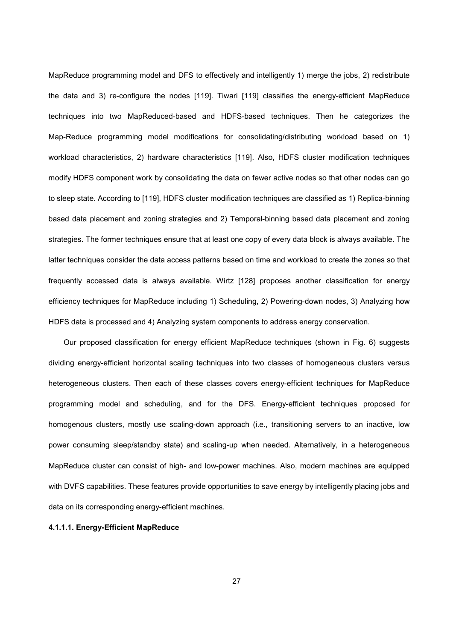MapReduce programming model and DFS to effectively and intelligently 1) merge the jobs, 2) redistribute the data and 3) re-configure the nodes [119]. Tiwari [119] classifies the energy-efficient MapReduce techniques into two MapReduced-based and HDFS-based techniques. Then he categorizes the Map-Reduce programming model modifications for consolidating/distributing workload based on 1) workload characteristics, 2) hardware characteristics [119]. Also, HDFS cluster modification techniques modify HDFS component work by consolidating the data on fewer active nodes so that other nodes can go to sleep state. According to [119], HDFS cluster modification techniques are classified as 1) Replica-binning based data placement and zoning strategies and 2) Temporal-binning based data placement and zoning strategies. The former techniques ensure that at least one copy of every data block is always available. The latter techniques consider the data access patterns based on time and workload to create the zones so that frequently accessed data is always available. Wirtz [128] proposes another classification for energy efficiency techniques for MapReduce including 1) Scheduling, 2) Powering-down nodes, 3) Analyzing how HDFS data is processed and 4) Analyzing system components to address energy conservation.

Our proposed classification for energy efficient MapReduce techniques (shown in Fig. 6) suggests dividing energy-efficient horizontal scaling techniques into two classes of homogeneous clusters versus heterogeneous clusters. Then each of these classes covers energy-efficient techniques for MapReduce programming model and scheduling, and for the DFS. Energy-efficient techniques proposed for homogenous clusters, mostly use scaling-down approach (i.e., transitioning servers to an inactive, low power consuming sleep/standby state) and scaling-up when needed. Alternatively, in a heterogeneous MapReduce cluster can consist of high- and low-power machines. Also, modern machines are equipped with DVFS capabilities. These features provide opportunities to save energy by intelligently placing jobs and data on its corresponding energy-efficient machines.

#### **4.1.1.1. Energy-Efficient MapReduce**

27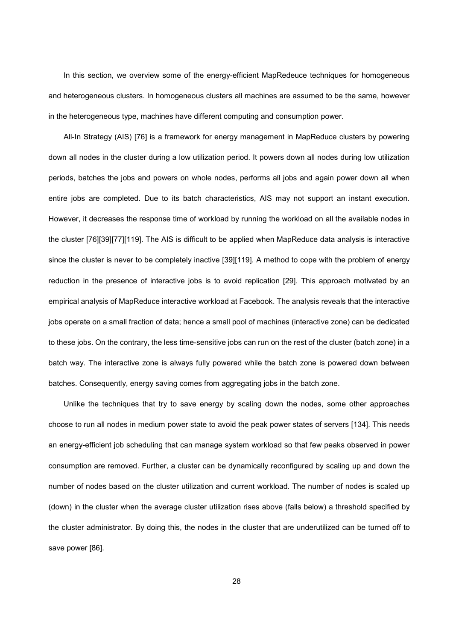In this section, we overview some of the energy-efficient MapRedeuce techniques for homogeneous and heterogeneous clusters. In homogeneous clusters all machines are assumed to be the same, however in the heterogeneous type, machines have different computing and consumption power.

All-In Strategy (AIS) [76] is a framework for energy management in MapReduce clusters by powering down all nodes in the cluster during a low utilization period. It powers down all nodes during low utilization periods, batches the jobs and powers on whole nodes, performs all jobs and again power down all when entire jobs are completed. Due to its batch characteristics. AIS may not support an instant execution. However, it decreases the response time of workload by running the workload on all the available nodes in the cluster [76] [39] [77] [119]. The AIS is difficult to be applied when MapReduce data analysis is interactive since the cluster is never to be completely inactive [39][119]. A method to cope with the problem of energy reduction in the presence of interactive jobs is to avoid replication [29]. This approach motivated by an empirical analysis of MapReduce interactive workload at Facebook. The analysis reveals that the interactive jobs operate on a small fraction of data; hence a small pool of machines (interactive zone) can be dedicated to these jobs. On the contrary, the less time-sensitive jobs can run on the rest of the cluster (batch zone) in a batch way. The interactive zone is always fully powered while the batch zone is powered down between batches. Consequently, energy saving comes from aggregating jobs in the batch zone.

Unlike the techniques that try to save energy by scaling down the nodes, some other approaches choose to run all nodes in medium power state to avoid the peak power states of servers [134]. This needs an energy-efficient job scheduling that can manage system workload so that few peaks observed in power consumption are removed. Further, a cluster can be dynamically reconfigured by scaling up and down the number of nodes based on the cluster utilization and current workload. The number of nodes is scaled up (down) in the cluster when the average cluster utilization rises above (falls below) a threshold specified by the cluster administrator. By doing this, the nodes in the cluster that are underutilized can be turned off to save power [86].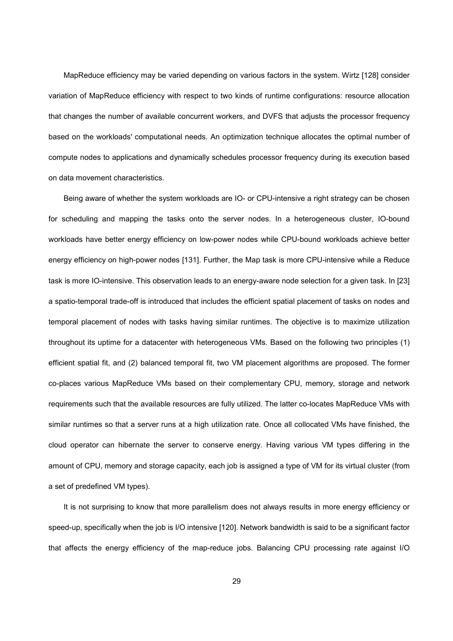MapReduce efficiency may be varied depending on various factors in the system. Wirtz [128] consider variation of MapReduce efficiency with respect to two kinds of runtime configurations: resource allocation that changes the number of available concurrent workers, and DVFS that adjusts the processor frequency based on the workloads' computational needs. An optimization technique allocates the optimal number of compute nodes to applications and dynamically schedules processor frequency during its execution based on data movement characteristics.

Being aware of whether the system workloads are IO- or CPU-intensive a right strategy can be chosen for scheduling and mapping the tasks onto the server nodes. In a heterogeneous cluster, IO-bound workloads have better energy efficiency on low-power nodes while CPU-bound workloads achieve better energy efficiency on high-power nodes [131]. Further, the Map task is more CPU-intensive while a Reduce task is more IO-intensive. This observation leads to an energy-aware node selection for a given task. In [23] a spatio-temporal trade-off is introduced that includes the efficient spatial placement of tasks on nodes and temporal placement of nodes with tasks having similar runtimes. The objective is to maximize utilization throughout its uptime for a datacenter with heterogeneous VMs. Based on the following two principles (1) efficient spatial fit, and (2) balanced temporal fit, two VM placement algorithms are proposed. The former co-places various MapReduce VMs based on their complementary CPU, memory, storage and network requirements such that the available resources are fully utilized. The latter co-locates MapReduce VMs with similar runtimes so that a server runs at a high utilization rate. Once all collocated VMs have finished, the cloud operator can hibernate the server to conserve energy. Having various VM types differing in the amount of CPU, memory and storage capacity, each job is assigned a type of VM for its virtual cluster (from a set of predefined VM types).

It is not surprising to know that more parallelism does not always results in more energy efficiency or speed-up, specifically when the job is I/O intensive [120]. Network bandwidth is said to be a significant factor that affects the energy efficiency of the map-reduce jobs. Balancing CPU processing rate against I/O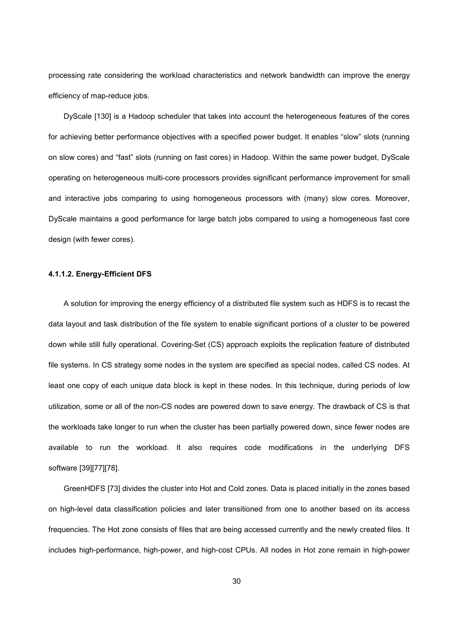processing rate considering the workload characteristics and network bandwidth can improve the energy efficiency of map-reduce jobs.

DyScale [130] is a Hadoop scheduler that takes into account the heterogeneous features of the cores for achieving better performance objectives with a specified power budget. It enables "slow" slots (running on slow cores) and "fast" slots (running on fast cores) in Hadoop. Within the same power budget, DyScale operating on heterogeneous multi-core processors provides significant performance improvement for small and interactive jobs comparing to using homogeneous processors with (many) slow cores. Moreover, DyScale maintains a good performance for large batch jobs compared to using a homogeneous fast core design (with fewer cores).

#### **4.1.1.2. Energy-Efficient DFS**

A solution for improving the energy efficiency of a distributed file system such as HDFS is to recast the data layout and task distribution of the file system to enable significant portions of a cluster to be powered down while still fully operational. Covering-Set (CS) approach exploits the replication feature of distributed file systems. In CS strategy some nodes in the system are specified as special nodes, called CS nodes. At least one copy of each unique data block is kept in these nodes. In this technique, during periods of low utilization, some or all of the non-CS nodes are powered down to save energy. The drawback of CS is that the workloads take longer to run when the cluster has been partially powered down, since fewer nodes are available to run the workload. It also requires code modifications in the underlying DFS software [39][77][78].

GreenHDFS [73] divides the cluster into Hot and Cold zones. Data is placed initially in the zones based on high-level data classification policies and later transitioned from one to another based on its access frequencies. The Hot zone consists of files that are being accessed currently and the newly created files. It includes high-performance, high-power, and high-cost CPUs. All nodes in Hot zone remain in high-power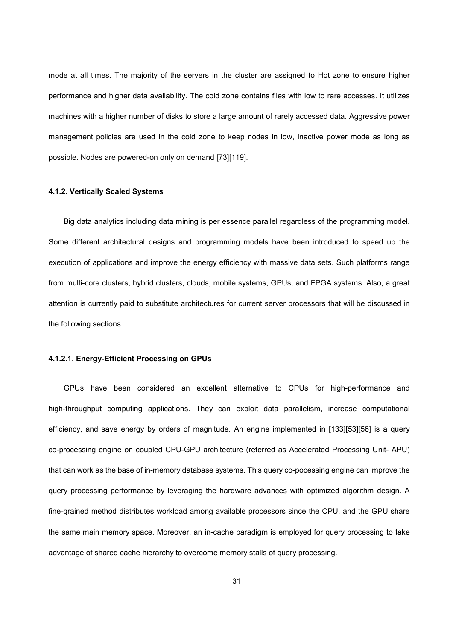mode at all times. The majority of the servers in the cluster are assigned to Hot zone to ensure higher performance and higher data availability. The cold zone contains files with low to rare accesses. It utilizes machines with a higher number of disks to store a large amount of rarely accessed data. Aggressive power management policies are used in the cold zone to keep nodes in low, inactive power mode as long as possible. Nodes are powered-on only on demand [73][119].

#### **4.1.2. Vertically Scaled Systems**

Big data analytics including data mining is per essence parallel regardless of the programming model. Some different architectural designs and programming models have been introduced to speed up the execution of applications and improve the energy efficiency with massive data sets. Such platforms range from multi-core clusters, hybrid clusters, clouds, mobile systems, GPUs, and FPGA systems. Also, a great attention is currently paid to substitute architectures for current server processors that will be discussed in the following sections.

#### **4.1.2.1. Energy-Efficient Processing on GPUs**

GPUs have been considered an excellent alternative to CPUs for high-performance and high-throughput computing applications. They can exploit data parallelism, increase computational efficiency, and save energy by orders of magnitude. An engine implemented in [133] [53] [56] is a query co-processing engine on coupled CPU-GPU architecture (referred as Accelerated Processing Unit- APU) that can work as the base of in-memory database systems. This query co-pocessing engine can improve the query processing performance by leveraging the hardware advances with optimized algorithm design. A fine-grained method distributes workload among available processors since the CPU, and the GPU share the same main memory space. Moreover, an in-cache paradigm is employed for query processing to take advantage of shared cache hierarchy to overcome memory stalls of query processing.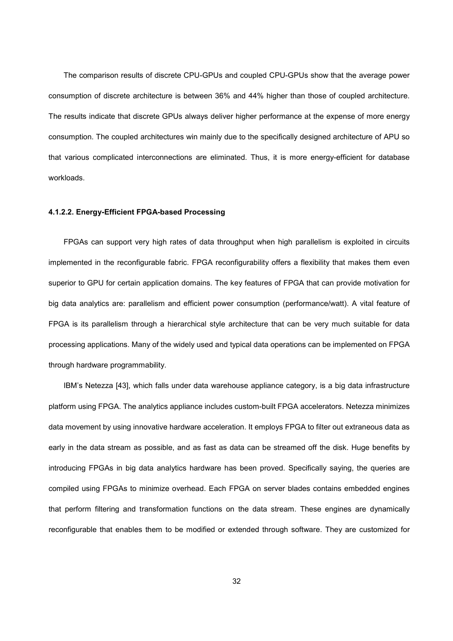The comparison results of discrete CPU-GPUs and coupled CPU-GPUs show that the average power consumption of discrete architecture is between 36% and 44% higher than those of coupled architecture. The results indicate that discrete GPUs always deliver higher performance at the expense of more energy consumption. The coupled architectures win mainly due to the specifically designed architecture of APU so that various complicated interconnections are eliminated. Thus, it is more energy-efficient for database workloads.

## **4.1.2.2. Energy-Efficient FPGA-based Processing**

FPGAs can support very high rates of data throughput when high parallelism is exploited in circuits implemented in the reconfigurable fabric. FPGA reconfigurability offers a flexibility that makes them even superior to GPU for certain application domains. The key features of FPGA that can provide motivation for big data analytics are: parallelism and efficient power consumption (performance/watt). A vital feature of FPGA is its parallelism through a hierarchical style architecture that can be very much suitable for data processing applications. Many of the widely used and typical data operations can be implemented on FPGA through hardware programmability.

IBM's Netezza [43], which falls under data warehouse appliance category, is a big data infrastructure platform using FPGA. The analytics appliance includes custom-built FPGA accelerators. Netezza minimizes data movement by using innovative hardware acceleration. It employs FPGA to filter out extraneous data as early in the data stream as possible, and as fast as data can be streamed off the disk. Huge benefits by introducing FPGAs in big data analytics hardware has been proved. Specifically saying, the queries are compiled using FPGAs to minimize overhead. Each FPGA on server blades contains embedded engines that perform filtering and transformation functions on the data stream. These engines are dynamically reconfigurable that enables them to be modified or extended through software. They are customized for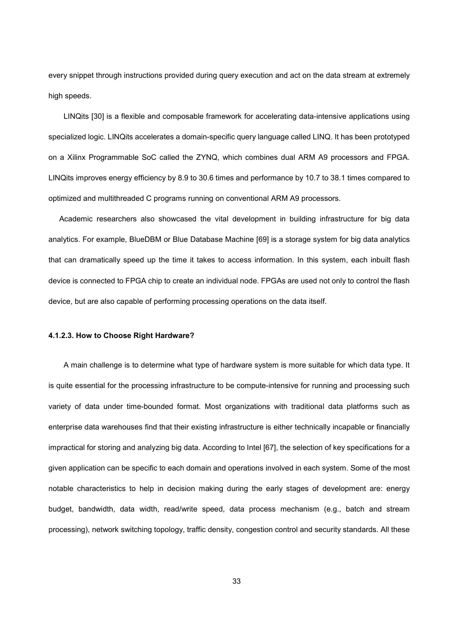every snippet through instructions provided during query execution and act on the data stream at extremely high speeds.

LINQits [30] is a flexible and composable framework for accelerating data-intensive applications using specialized logic. LINQits accelerates a domain-specific query language called LINQ. It has been prototyped on a Xilinx Programmable SoC called the ZYNQ, which combines dual ARM A9 processors and FPGA. LINQits improves energy efficiency by 8.9 to 30.6 times and performance by 10.7 to 38.1 times compared to optimized and multithreaded C programs running on conventional ARM A9 processors.

Academic researchers also showcased the vital development in building infrastructure for big data analytics. For example, BlueDBM or Blue Database Machine [69] is a storage system for big data analytics that can dramatically speed up the time it takes to access information. In this system, each inbuilt flash device is connected to FPGA chip to create an individual node. FPGAs are used not only to control the flash device, but are also capable of performing processing operations on the data itself.

#### **4.1.2.3. How to Choose Right Hardware?**

A main challenge is to determine what type of hardware system is more suitable for which data type. It is quite essential for the processing infrastructure to be compute-intensive for running and processing such variety of data under time-bounded format. Most organizations with traditional data platforms such as enterprise data warehouses find that their existing infrastructure is either technically incapable or financially impractical for storing and analyzing big data. According to Intel [67], the selection of key specifications for a given application can be specific to each domain and operations involved in each system. Some of the most notable characteristics to help in decision making during the early stages of development are: energy budget, bandwidth, data width, read/write speed, data process mechanism (e.g., batch and stream processing), network switching topology, traffic density, congestion control and security standards. All these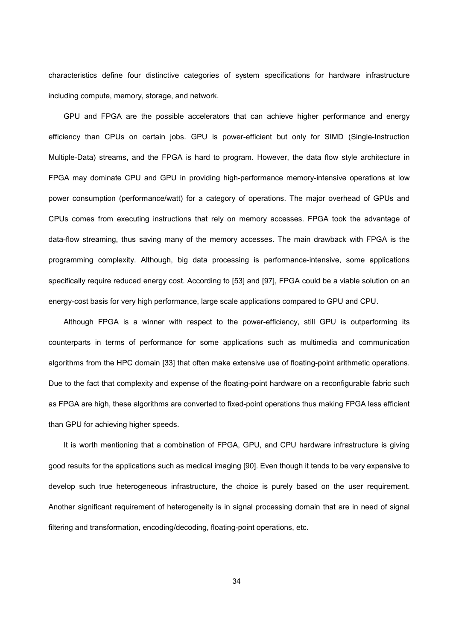characteristics define four distinctive categories of system specifications for hardware infrastructure including compute, memory, storage, and network.

GPU and FPGA are the possible accelerators that can achieve higher performance and energy efficiency than CPUs on certain jobs. GPU is power-efficient but only for SIMD (Single-Instruction Multiple-Data) streams, and the FPGA is hard to program. However, the data flow style architecture in FPGA may dominate CPU and GPU in providing high-performance memory-intensive operations at low power consumption (performance/watt) for a category of operations. The major overhead of GPUs and CPUs comes from executing instructions that rely on memory accesses. FPGA took the advantage of data-flow streaming, thus saving many of the memory accesses. The main drawback with FPGA is the programming complexity. Although, big data processing is performance-intensive, some applications specifically require reduced energy cost. According to [53] and [97], FPGA could be a viable solution on an energy-cost basis for very high performance, large scale applications compared to GPU and CPU.

Although FPGA is a winner with respect to the power-efficiency, still GPU is outperforming its counterparts in terms of performance for some applications such as multimedia and communication algorithms from the HPC domain [33] that often make extensive use of floating-point arithmetic operations. Due to the fact that complexity and expense of the floating-point hardware on a reconfigurable fabric such as FPGA are high, these algorithms are converted to fixed-point operations thus making FPGA less efficient than GPU for achieving higher speeds.

It is worth mentioning that a combination of FPGA, GPU, and CPU hardware infrastructure is giving good results for the applications such as medical imaging [90]. Even though it tends to be very expensive to develop such true heterogeneous infrastructure, the choice is purely based on the user requirement. Another significant requirement of heterogeneity is in signal processing domain that are in need of signal filtering and transformation, encoding/decoding, floating-point operations, etc.

34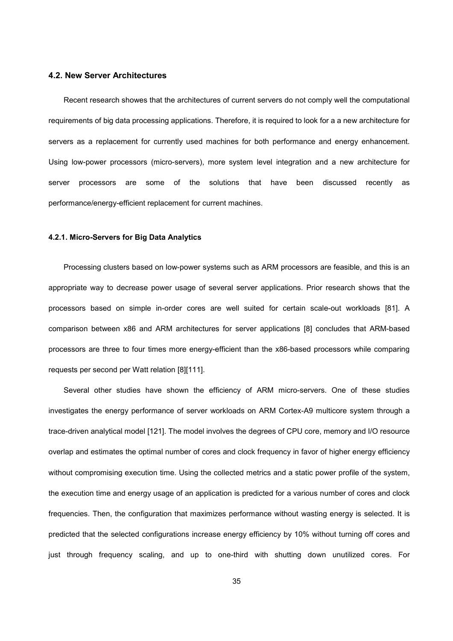## **4.2. New Server Architectures**

Recent research showes that the architectures of current servers do not comply well the computational requirements of big data processing applications. Therefore, it is required to look for a a new architecture for servers as a replacement for currently used machines for both performance and energy enhancement. Using low-power processors (micro-servers), more system level integration and a new architecture for server processors are some of the solutions that have been discussed recently as performance/energy-efficient replacement for current machines.

#### **4.2.1. Micro-Servers for Big Data Analytics**

Processing clusters based on low-power systems such as ARM processors are feasible, and this is an appropriate way to decrease power usage of several server applications. Prior research shows that the processors based on simple in-order cores are well suited for certain scale-out workloads [81]. A comparison between x86 and ARM architectures for server applications [8] concludes that ARM-based processors are three to four times more energy-efficient than the x86-based processors while comparing requests per second per Watt relation [8][111].

Several other studies have shown the efficiency of ARM micro-servers. One of these studies investigates the energy performance of server workloads on ARM Cortex-A9 multicore system through a trace-driven analytical model [121]. The model involves the degrees of CPU core, memory and I/O resource overlap and estimates the optimal number of cores and clock frequency in favor of higher energy efficiency without compromising execution time. Using the collected metrics and a static power profile of the system, the execution time and energy usage of an application is predicted for a various number of cores and clock frequencies. Then, the configuration that maximizes performance without wasting energy is selected. It is predicted that the selected configurations increase energy efficiency by 10% without turning off cores and just through frequency scaling, and up to one-third with shutting down unutilized cores. For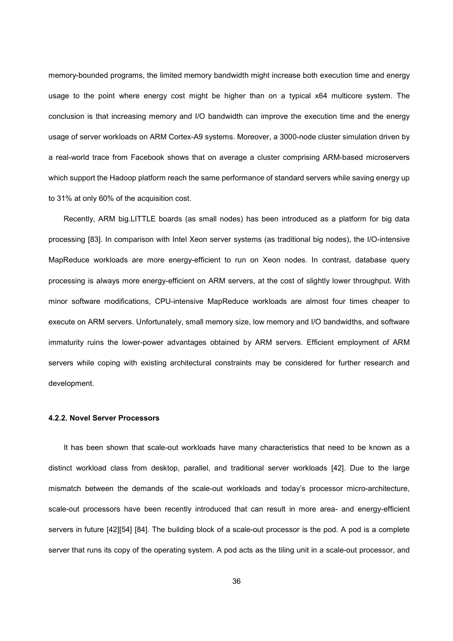memory-bounded programs, the limited memory bandwidth might increase both execution time and energy usage to the point where energy cost might be higher than on a typical x64 multicore system. The conclusion is that increasing memory and I/O bandwidth can improve the execution time and the energy usage of server workloads on ARM Cortex-A9 systems. Moreover, a 3000-node cluster simulation driven by a real-world trace from Facebook shows that on average a cluster comprising ARM-based microservers which support the Hadoop platform reach the same performance of standard servers while saving energy up to 31% at only 60% of the acquisition cost.

Recently, ARM big.LITTLE boards (as small nodes) has been introduced as a platform for big data processing [83]. In comparison with Intel Xeon server systems (as traditional big nodes), the I/O-intensive MapReduce workloads are more energy-efficient to run on Xeon nodes. In contrast, database query processing is always more energy-efficient on ARM servers, at the cost of slightly lower throughput. With minor software modifications, CPU-intensive MapReduce workloads are almost four times cheaper to execute on ARM servers. Unfortunately, small memory size, low memory and I/O bandwidths, and software immaturity ruins the lower-power advantages obtained by ARM servers. Efficient employment of ARM servers while coping with existing architectural constraints may be considered for further research and development.

#### **4.2.2. Novel Server Processors**

It has been shown that scale-out workloads have many characteristics that need to be known as a distinct workload class from desktop, parallel, and traditional server workloads [42]. Due to the large mismatch between the demands of the scale-out workloads and today's processor micro-architecture, scale-out processors have been recently introduced that can result in more area- and energy-efficient servers in future [42] [54] [84]. The building block of a scale-out processor is the pod. A pod is a complete server that runs its copy of the operating system. A pod acts as the tiling unit in a scale-out processor, and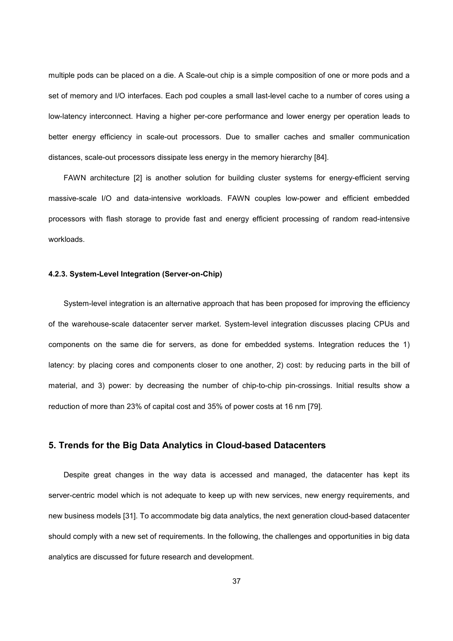multiple pods can be placed on a die. A Scale-out chip is a simple composition of one or more pods and a set of memory and I/O interfaces. Each pod couples a small last-level cache to a number of cores using a low-latency interconnect. Having a higher per-core performance and lower energy per operation leads to better energy efficiency in scale-out processors. Due to smaller caches and smaller communication distances, scale-out processors dissipate less energy in the memory hierarchy [84].

FAWN architecture [2] is another solution for building cluster systems for energy-efficient serving massive-scale I/O and data-intensive workloads. FAWN couples low-power and efficient embedded processors with flash storage to provide fast and energy efficient processing of random read-intensive workloads.

#### **4.2.3. System-Level Integration (Server-on-Chip)**

System-level integration is an alternative approach that has been proposed for improving the efficiency of the warehouse-scale datacenter server market. System-level integration discusses placing CPUs and components on the same die for servers, as done for embedded systems. Integration reduces the 1) latency: by placing cores and components closer to one another, 2) cost: by reducing parts in the bill of material, and 3) power: by decreasing the number of chip-to-chip pin-crossings. Initial results show a reduction of more than 23% of capital cost and 35% of power costs at 16 nm [79].

## **5. Trends for the Big Data Analytics in Cloud-based Datacenters**

Despite great changes in the way data is accessed and managed, the datacenter has kept its server-centric model which is not adequate to keep up with new services, new energy requirements, and new business models [31]. To accommodate big data analytics, the next generation cloud-based datacenter should comply with a new set of requirements. In the following, the challenges and opportunities in big data analytics are discussed for future research and development.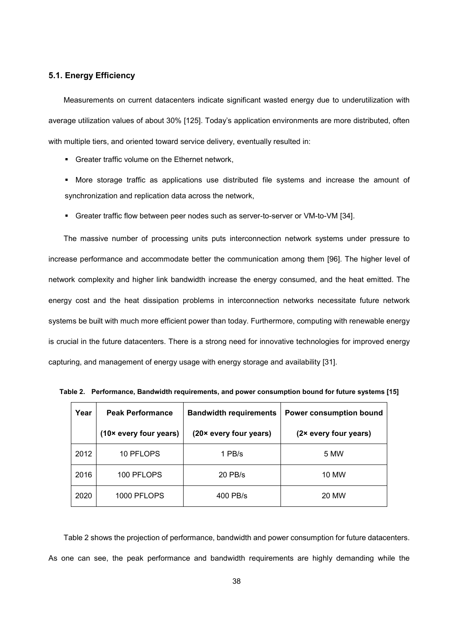## **5.1. Energy Efficiency**

Measurements on current datacenters indicate significant wasted energy due to underutilization with average utilization values of about 30% [125]. Today's application environments are more distributed, often with multiple tiers, and oriented toward service delivery, eventually resulted in:

- Greater traffic volume on the Ethernet network,
- More storage traffic as applications use distributed file systems and increase the amount of synchronization and replication data across the network,
- Greater traffic flow between peer nodes such as server-to-server or VM-to-VM [34].

The massive number of processing units puts interconnection network systems under pressure to increase performance and accommodate better the communication among them [96]. The higher level of network complexity and higher link bandwidth increase the energy consumed, and the heat emitted. The energy cost and the heat dissipation problems in interconnection networks necessitate future network systems be built with much more efficient power than today. Furthermore, computing with renewable energy is crucial in the future datacenters. There is a strong need for innovative technologies for improved energy capturing, and management of energy usage with energy storage and availability [31].

| Year | <b>Peak Performance</b> | <b>Bandwidth requirements</b> | <b>Power consumption bound</b> |
|------|-------------------------|-------------------------------|--------------------------------|
|      | (10× every four years)  | (20× every four years)        | (2x every four years)          |
| 2012 | 10 PFLOPS               | 1 PB/s                        | 5 MW                           |
| 2016 | 100 PFLOPS              | $20$ PB/s                     | 10 MW                          |
| 2020 | 1000 PFLOPS             | 400 PB/s                      | 20 MW                          |

**Table 2. Performance, Bandwidth requirements, and power consumption bound for future systems [15]** 

 Table 2 shows the projection of performance, bandwidth and power consumption for future datacenters. As one can see, the peak performance and bandwidth requirements are highly demanding while the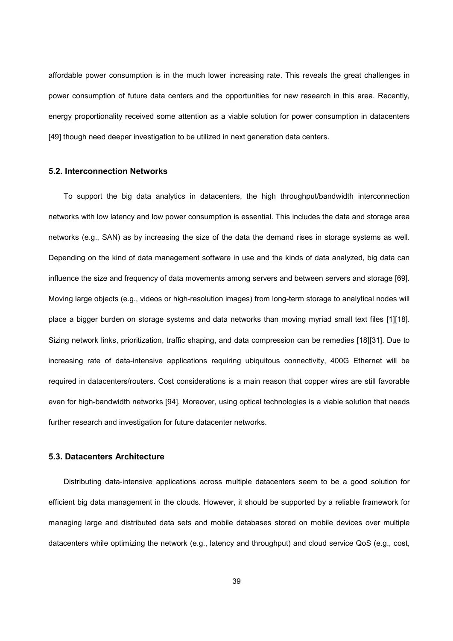affordable power consumption is in the much lower increasing rate. This reveals the great challenges in power consumption of future data centers and the opportunities for new research in this area. Recently, energy proportionality received some attention as a viable solution for power consumption in datacenters [49] though need deeper investigation to be utilized in next generation data centers.

#### **5.2. Interconnection Networks**

To support the big data analytics in datacenters, the high throughput/bandwidth interconnection networks with low latency and low power consumption is essential. This includes the data and storage area networks (e.g., SAN) as by increasing the size of the data the demand rises in storage systems as well. Depending on the kind of data management software in use and the kinds of data analyzed, big data can influence the size and frequency of data movements among servers and between servers and storage [69]. Moving large objects (e.g., videos or high-resolution images) from long-term storage to analytical nodes will place a bigger burden on storage systems and data networks than moving myriad small text files [1] [18]. Sizing network links, prioritization, traffic shaping, and data compression can be remedies [18][31]. Due to increasing rate of data-intensive applications requiring ubiquitous connectivity, 400G Ethernet will be required in datacenters/routers. Cost considerations is a main reason that copper wires are still favorable even for high-bandwidth networks [94]. Moreover, using optical technologies is a viable solution that needs further research and investigation for future datacenter networks.

### **5.3. Datacenters Architecture**

Distributing data-intensive applications across multiple datacenters seem to be a good solution for efficient big data management in the clouds. However, it should be supported by a reliable framework for managing large and distributed data sets and mobile databases stored on mobile devices over multiple datacenters while optimizing the network (e.g., latency and throughput) and cloud service QoS (e.g., cost,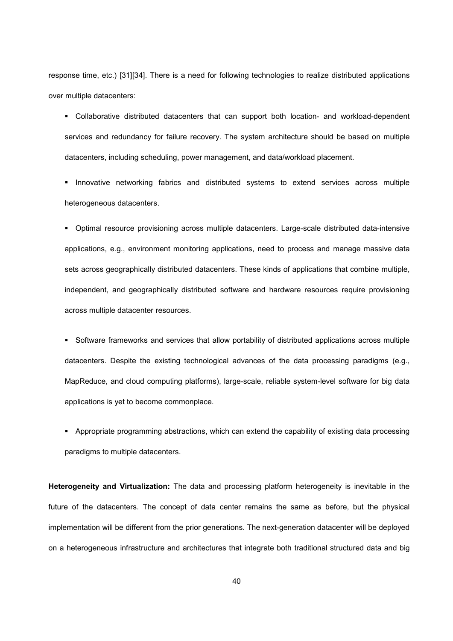response time, etc.) [31] [34]. There is a need for following technologies to realize distributed applications over multiple datacenters:

 Collaborative distributed datacenters that can support both location- and workload-dependent services and redundancy for failure recovery. The system architecture should be based on multiple datacenters, including scheduling, power management, and data/workload placement.

Innovative networking fabrics and distributed systems to extend services across multiple heterogeneous datacenters.

 Optimal resource provisioning across multiple datacenters. Large-scale distributed data-intensive applications, e.g., environment monitoring applications, need to process and manage massive data sets across geographically distributed datacenters. These kinds of applications that combine multiple, independent, and geographically distributed software and hardware resources require provisioning across multiple datacenter resources.

• Software frameworks and services that allow portability of distributed applications across multiple datacenters. Despite the existing technological advances of the data processing paradigms (e.g., MapReduce, and cloud computing platforms), large-scale, reliable system-level software for big data applications is yet to become commonplace.

 Appropriate programming abstractions, which can extend the capability of existing data processing paradigms to multiple datacenters.

**Heterogeneity and Virtualization:** The data and processing platform heterogeneity is inevitable in the future of the datacenters. The concept of data center remains the same as before, but the physical implementation will be different from the prior generations. The next-generation datacenter will be deployed on a heterogeneous infrastructure and architectures that integrate both traditional structured data and big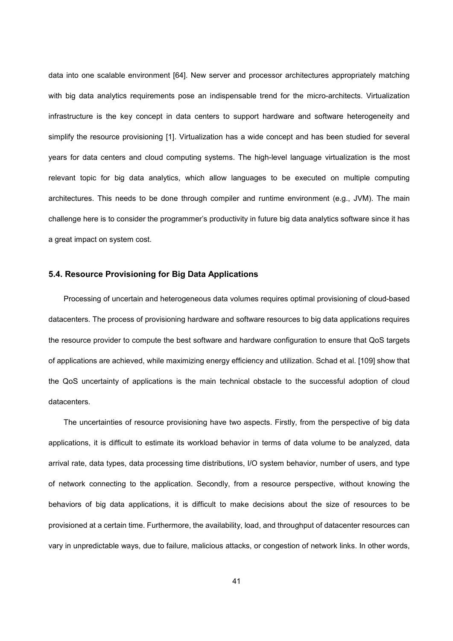data into one scalable environment [64]. New server and processor architectures appropriately matching with big data analytics requirements pose an indispensable trend for the micro-architects. Virtualization infrastructure is the key concept in data centers to support hardware and software heterogeneity and simplify the resource provisioning [1]. Virtualization has a wide concept and has been studied for several years for data centers and cloud computing systems. The high-level language virtualization is the most relevant topic for big data analytics, which allow languages to be executed on multiple computing architectures. This needs to be done through compiler and runtime environment (e.g., JVM). The main challenge here is to consider the programmer's productivity in future big data analytics software since it has a great impact on system cost.

## **5.4. Resource Provisioning for Big Data Applications**

Processing of uncertain and heterogeneous data volumes requires optimal provisioning of cloud-based datacenters. The process of provisioning hardware and software resources to big data applications requires the resource provider to compute the best software and hardware configuration to ensure that QoS targets of applications are achieved, while maximizing energy efficiency and utilization. Schad et al. [109] show that the QoS uncertainty of applications is the main technical obstacle to the successful adoption of cloud datacenters.

The uncertainties of resource provisioning have two aspects. Firstly, from the perspective of big data applications, it is difficult to estimate its workload behavior in terms of data volume to be analyzed, data arrival rate, data types, data processing time distributions, I/O system behavior, number of users, and type of network connecting to the application. Secondly, from a resource perspective, without knowing the behaviors of big data applications, it is difficult to make decisions about the size of resources to be provisioned at a certain time. Furthermore, the availability, load, and throughput of datacenter resources can vary in unpredictable ways, due to failure, malicious attacks, or congestion of network links. In other words,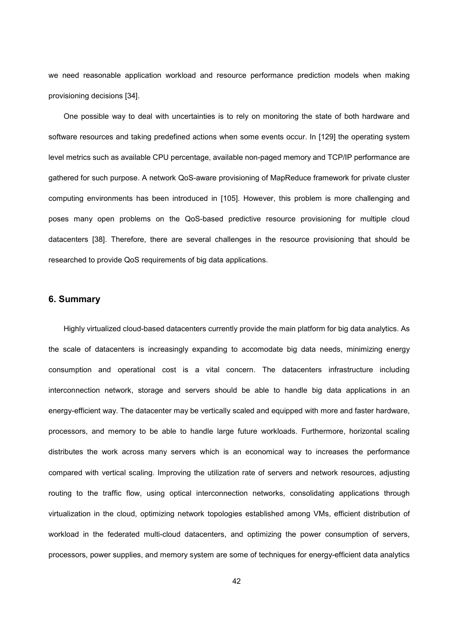we need reasonable application workload and resource performance prediction models when making provisioning decisions [34].

One possible way to deal with uncertainties is to rely on monitoring the state of both hardware and software resources and taking predefined actions when some events occur. In [129] the operating system level metrics such as available CPU percentage, available non-paged memory and TCP/IP performance are gathered for such purpose. A network QoS-aware provisioning of MapReduce framework for private cluster computing environments has been introduced in [105]. However, this problem is more challenging and poses many open problems on the QoS-based predictive resource provisioning for multiple cloud datacenters [38]. Therefore, there are several challenges in the resource provisioning that should be researched to provide QoS requirements of big data applications.

## **6. Summary**

Highly virtualized cloud-based datacenters currently provide the main platform for big data analytics. As the scale of datacenters is increasingly expanding to accomodate big data needs, minimizing energy consumption and operational cost is a vital concern. The datacenters infrastructure including interconnection network, storage and servers should be able to handle big data applications in an energy-efficient way. The datacenter may be vertically scaled and equipped with more and faster hardware, processors, and memory to be able to handle large future workloads. Furthermore, horizontal scaling distributes the work across many servers which is an economical way to increases the performance compared with vertical scaling. Improving the utilization rate of servers and network resources, adjusting routing to the traffic flow, using optical interconnection networks, consolidating applications through virtualization in the cloud, optimizing network topologies established among VMs, efficient distribution of workload in the federated multi-cloud datacenters, and optimizing the power consumption of servers, processors, power supplies, and memory system are some of techniques for energy-efficient data analytics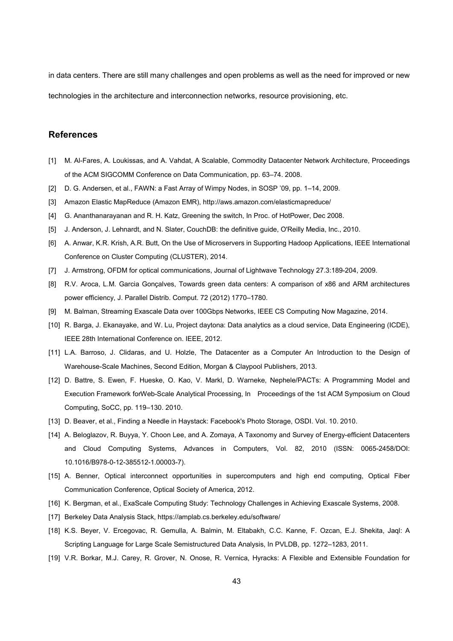in data centers. There are still many challenges and open problems as well as the need for improved or new technologies in the architecture and interconnection networks, resource provisioning, etc.

## **References**

- [1] M. Al-Fares, A. Loukissas, and A. Vahdat, A Scalable, Commodity Datacenter Network Architecture, Proceedings of the ACM SIGCOMM Conference on Data Communication, pp. 63–74. 2008.
- [2] D. G. Andersen, et al., FAWN: a Fast Array of Wimpy Nodes, in SOSP '09, pp. 1–14, 2009.
- [3] Amazon Elastic MapReduce (Amazon EMR), http://aws.amazon.com/elasticmapreduce/
- [4] G. Ananthanarayanan and R. H. Katz, Greening the switch, In Proc. of HotPower, Dec 2008.
- [5] J. Anderson, J. Lehnardt, and N. Slater, CouchDB: the definitive guide, O'Reilly Media, Inc., 2010.
- [6] A. Anwar, K.R. Krish, A.R. Butt, On the Use of Microservers in Supporting Hadoop Applications, IEEE International Conference on Cluster Computing (CLUSTER), 2014.
- [7] J. Armstrong, OFDM for optical communications, Journal of Lightwave Technology 27.3:189-204, 2009.
- [8] R.V. Aroca, L.M. Garcia Gonçalves, Towards green data centers: A comparison of x86 and ARM architectures power efficiency, J. Parallel Distrib. Comput. 72 (2012) 1770–1780.
- [9] M. Balman, Streaming Exascale Data over 100Gbps Networks, IEEE CS Computing Now Magazine, 2014.
- [10] R. Barga, J. Ekanayake, and W. Lu, Project daytona: Data analytics as a cloud service, Data Engineering (ICDE), IEEE 28th International Conference on. IEEE, 2012.
- [11] L.A. Barroso, J. Clidaras, and U. Holzle, The Datacenter as a Computer An Introduction to the Design of Warehouse-Scale Machines, Second Edition, Morgan & Claypool Publishers, 2013.
- [12] D. Battre, S. Ewen, F. Hueske, O. Kao, V. Markl, D. Warneke, Nephele/PACTs: A Programming Model and Execution Framework forWeb-Scale Analytical Processing, In Proceedings of the 1st ACM Symposium on Cloud Computing, SoCC, pp. 119–130. 2010.
- [13] D. Beaver, et al., Finding a Needle in Haystack: Facebook's Photo Storage, OSDI. Vol. 10. 2010.
- [14] A. Beloglazov, R. Buyya, Y. Choon Lee, and A. Zomaya, A Taxonomy and Survey of Energy-efficient Datacenters and Cloud Computing Systems, Advances in Computers, Vol. 82, 2010 (ISSN: 0065-2458/DOI: 10.1016/B978-0-12-385512-1.00003-7).
- [15] A. Benner, Optical interconnect opportunities in supercomputers and high end computing, Optical Fiber Communication Conference, Optical Society of America, 2012.
- [16] K. Bergman, et al., ExaScale Computing Study: Technology Challenges in Achieving Exascale Systems, 2008.
- [17] Berkeley Data Analysis Stack, https://amplab.cs.berkeley.edu/software/
- [18] K.S. Beyer, V. Ercegovac, R. Gemulla, A. Balmin, M. Eltabakh, C.C. Kanne, F. Ozcan, E.J. Shekita, Jaql: A Scripting Language for Large Scale Semistructured Data Analysis, In PVLDB, pp. 1272–1283, 2011.
- [19] V.R. Borkar, M.J. Carey, R. Grover, N. Onose, R. Vernica, Hyracks: A Flexible and Extensible Foundation for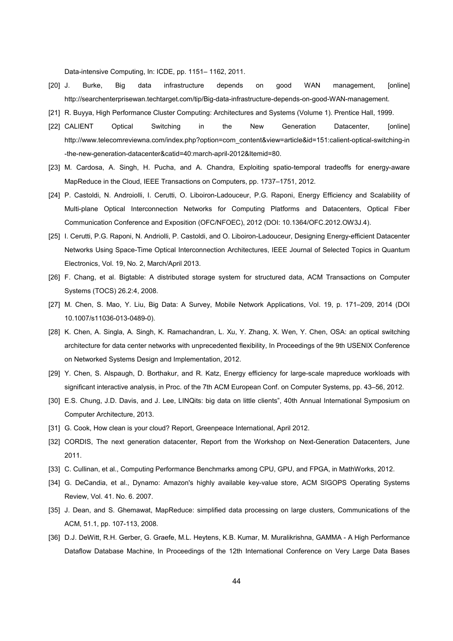Data-intensive Computing, In: ICDE, pp. 1151– 1162, 2011.

- [20] J. Burke, Big data infrastructure depends on good WAN management, [online] http://searchenterprisewan.techtarget.com/tip/Big-data-infrastructure-depends-on-good-WAN-management.
- [21] R. Buyya, High Performance Cluster Computing: Architectures and Systems (Volume 1). Prentice Hall, 1999.
- [22] CALIENT Optical Switching in the New Generation Datacenter, [online] http://www.telecomreviewna.com/index.php?option=com\_content&view=article&id=151:calient-optical-switching-in -the-new-generation-datacenter&catid=40:march-april-2012&Itemid=80.
- [23] M. Cardosa, A. Singh, H. Pucha, and A. Chandra, Exploiting spatio-temporal tradeoffs for energy-aware MapReduce in the Cloud, IEEE Transactions on Computers, pp. 1737–1751, 2012.
- [24] P. Castoldi, N. Androiolli, I. Cerutti, O. Liboiron-Ladouceur, P.G. Raponi, Energy Efficiency and Scalability of Multi-plane Optical Interconnection Networks for Computing Platforms and Datacenters, Optical Fiber Communication Conference and Exposition (OFC/NFOEC), 2012 (DOI: 10.1364/OFC.2012.OW3J.4).
- [25] I. Cerutti, P.G. Raponi, N. Andriolli, P. Castoldi, and O. Liboiron-Ladouceur, Designing Energy-efficient Datacenter Networks Using Space-Time Optical Interconnection Architectures, IEEE Journal of Selected Topics in Quantum Electronics, Vol. 19, No. 2, March/April 2013.
- [26] F. Chang, et al. Bigtable: A distributed storage system for structured data, ACM Transactions on Computer Systems (TOCS) 26.2:4, 2008.
- [27] M. Chen, S. Mao, Y. Liu, Big Data: A Survey, Mobile Network Applications, Vol. 19, p. 171–209, 2014 (DOI 10.1007/s11036-013-0489-0).
- [28] K. Chen, A. Singla, A. Singh, K. Ramachandran, L. Xu, Y. Zhang, X. Wen, Y. Chen, OSA: an optical switching architecture for data center networks with unprecedented flexibility, In Proceedings of the 9th USENIX Conference on Networked Systems Design and Implementation, 2012.
- [29] Y. Chen, S. Alspaugh, D. Borthakur, and R. Katz, Energy efficiency for large-scale mapreduce workloads with significant interactive analysis, in Proc. of the 7th ACM European Conf. on Computer Systems, pp. 43–56, 2012.
- [30] E.S. Chung, J.D. Davis, and J. Lee, LINQits: big data on little clients", 40th Annual International Symposium on Computer Architecture, 2013.
- [31] G. Cook, How clean is your cloud? Report, Greenpeace International, April 2012.
- [32] CORDIS, The next generation datacenter, Report from the Workshop on Next-Generation Datacenters, June 2011.
- [33] C. Cullinan, et al., Computing Performance Benchmarks among CPU, GPU, and FPGA, in MathWorks, 2012.
- [34] G. DeCandia, et al., Dynamo: Amazon's highly available key-value store, ACM SIGOPS Operating Systems Review, Vol. 41. No. 6. 2007.
- [35] J. Dean, and S. Ghemawat, MapReduce: simplified data processing on large clusters, Communications of the ACM, 51.1, pp. 107-113, 2008.
- [36] D.J. DeWitt, R.H. Gerber, G. Graefe, M.L. Heytens, K.B. Kumar, M. Muralikrishna, GAMMA A High Performance Dataflow Database Machine, In Proceedings of the 12th International Conference on Very Large Data Bases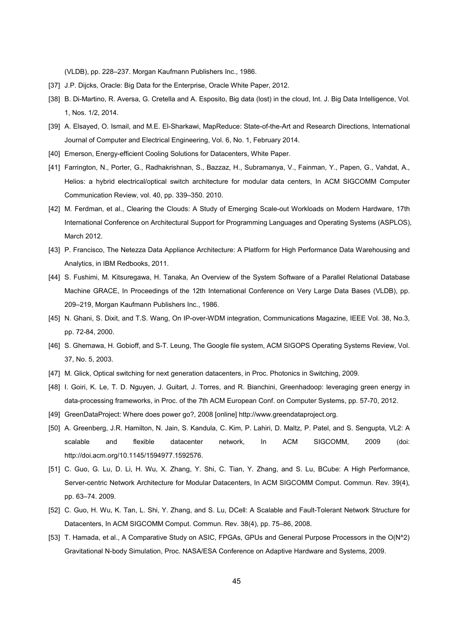(VLDB), pp. 228–237. Morgan Kaufmann Publishers Inc., 1986.

- [37] J.P. Dijcks, Oracle: Big Data for the Enterprise, Oracle White Paper, 2012.
- [38] B. Di-Martino, R. Aversa, G. Cretella and A. Esposito, Big data (lost) in the cloud, Int. J. Big Data Intelligence, Vol. 1, Nos. 1/2, 2014.
- [39] A. Elsayed, O. Ismail, and M.E. El-Sharkawi, MapReduce: State-of-the-Art and Research Directions, International Journal of Computer and Electrical Engineering, Vol. 6, No. 1, February 2014.
- [40] Emerson, Energy-efficient Cooling Solutions for Datacenters, White Paper.
- [41] Farrington, N., Porter, G., Radhakrishnan, S., Bazzaz, H., Subramanya, V., Fainman, Y., Papen, G., Vahdat, A., Helios: a hybrid electrical/optical switch architecture for modular data centers, In ACM SIGCOMM Computer Communication Review, vol. 40, pp. 339–350. 2010.
- [42] M. Ferdman, et al., Clearing the Clouds: A Study of Emerging Scale-out Workloads on Modern Hardware, 17th International Conference on Architectural Support for Programming Languages and Operating Systems (ASPLOS), March 2012.
- [43] P. Francisco, The Netezza Data Appliance Architecture: A Platform for High Performance Data Warehousing and Analytics, in IBM Redbooks, 2011.
- [44] S. Fushimi, M. Kitsuregawa, H. Tanaka, An Overview of the System Software of a Parallel Relational Database Machine GRACE, In Proceedings of the 12th International Conference on Very Large Data Bases (VLDB), pp. 209–219, Morgan Kaufmann Publishers Inc., 1986.
- [45] N. Ghani, S. Dixit, and T.S. Wang, On IP-over-WDM integration, Communications Magazine, IEEE Vol. 38, No.3, pp. 72-84, 2000.
- [46] S. Ghemawa, H. Gobioff, and S-T. Leung, The Google file system, ACM SIGOPS Operating Systems Review, Vol. 37, No. 5, 2003.
- [47] M. Glick, Optical switching for next generation datacenters, in Proc. Photonics in Switching, 2009.
- [48] I. Goiri, K. Le, T. D. Nguyen, J. Guitart, J. Torres, and R. Bianchini, Greenhadoop: leveraging green energy in data-processing frameworks, in Proc. of the 7th ACM European Conf. on Computer Systems, pp. 57-70, 2012.
- [49] GreenDataProject: Where does power go?, 2008 [online] http://www.greendataproject.org.
- [50] A. Greenberg, J.R. Hamilton, N. Jain, S. Kandula, C. Kim, P. Lahiri, D. Maltz, P. Patel, and S. Sengupta, VL2: A scalable and flexible datacenter network, In ACM SIGCOMM, 2009 (doi: http://doi.acm.org/10.1145/1594977.1592576.
- [51] C. Guo, G. Lu, D. Li, H. Wu, X. Zhang, Y. Shi, C. Tian, Y. Zhang, and S. Lu, BCube: A High Performance, Server-centric Network Architecture for Modular Datacenters, In ACM SIGCOMM Comput. Commun. Rev. 39(4), pp. 63–74. 2009.
- [52] C. Guo, H. Wu, K. Tan, L. Shi, Y. Zhang, and S. Lu, DCell: A Scalable and Fault-Tolerant Network Structure for Datacenters, In ACM SIGCOMM Comput. Commun. Rev. 38(4), pp. 75–86, 2008.
- [53] T. Hamada, et al., A Comparative Study on ASIC, FPGAs, GPUs and General Purpose Processors in the O(N^2) Gravitational N-body Simulation, Proc. NASA/ESA Conference on Adaptive Hardware and Systems, 2009.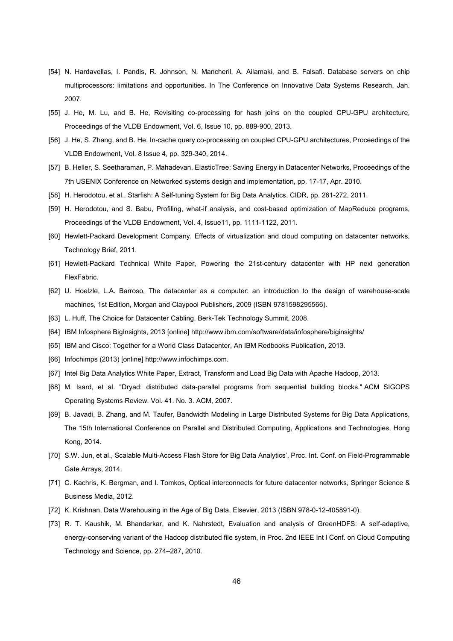- [54] N. Hardavellas, I. Pandis, R. Johnson, N. Mancheril, A. Ailamaki, and B. Falsafi. Database servers on chip multiprocessors: limitations and opportunities. In The Conference on Innovative Data Systems Research, Jan. 2007.
- [55] J. He, M. Lu, and B. He, Revisiting co-processing for hash joins on the coupled CPU-GPU architecture, Proceedings of the VLDB Endowment, Vol. 6, Issue 10, pp. 889-900, 2013.
- [56] J. He, S. Zhang, and B. He, In-cache query co-processing on coupled CPU-GPU architectures, Proceedings of the VLDB Endowment, Vol. 8 Issue 4, pp. 329-340, 2014.
- [57] B. Heller, S. Seetharaman, P. Mahadevan, ElasticTree: Saving Energy in Datacenter Networks, Proceedings of the 7th USENIX Conference on Networked systems design and implementation, pp. 17-17, Apr. 2010.
- [58] H. Herodotou, et al., Starfish: A Self-tuning System for Big Data Analytics, CIDR, pp. 261-272, 2011.
- [59] H. Herodotou, and S. Babu, Profiling, what-if analysis, and cost-based optimization of MapReduce programs, Proceedings of the VLDB Endowment, Vol. 4, Issue11, pp. 1111-1122, 2011.
- [60] Hewlett-Packard Development Company, Effects of virtualization and cloud computing on datacenter networks, Technology Brief, 2011.
- [61] Hewlett-Packard Technical White Paper, Powering the 21st-century datacenter with HP next generation FlexFabric.
- [62] U. Hoelzle, L.A. Barroso, The datacenter as a computer: an introduction to the design of warehouse-scale machines, 1st Edition, Morgan and Claypool Publishers, 2009 (ISBN 9781598295566).
- [63] L. Huff, The Choice for Datacenter Cabling, Berk-Tek Technology Summit, 2008.
- [64] IBM Infosphere BigInsights, 2013 [online] http://www.ibm.com/software/data/infosphere/biginsights/
- [65] IBM and Cisco: Together for a World Class Datacenter, An IBM Redbooks Publication, 2013.
- [66] Infochimps (2013) [online] http://www.infochimps.com.
- [67] Intel Big Data Analytics White Paper, Extract, Transform and Load Big Data with Apache Hadoop, 2013.
- [68] M. Isard, et al. "Dryad: distributed data-parallel programs from sequential building blocks." ACM SIGOPS Operating Systems Review. Vol. 41. No. 3. ACM, 2007.
- [69] B. Javadi, B. Zhang, and M. Taufer, Bandwidth Modeling in Large Distributed Systems for Big Data Applications, The 15th International Conference on Parallel and Distributed Computing, Applications and Technologies, Hong Kong, 2014.
- [70] S.W. Jun, et al., Scalable Multi-Access Flash Store for Big Data Analytics', Proc. Int. Conf. on Field-Programmable Gate Arrays, 2014.
- [71] C. Kachris, K. Bergman, and I. Tomkos, Optical interconnects for future datacenter networks, Springer Science & Business Media, 2012.
- [72] K. Krishnan, Data Warehousing in the Age of Big Data, Elsevier, 2013 (ISBN 978-0-12-405891-0).
- [73] R. T. Kaushik, M. Bhandarkar, and K. Nahrstedt, Evaluation and analysis of GreenHDFS: A self-adaptive, energy-conserving variant of the Hadoop distributed file system, in Proc. 2nd IEEE Int l Conf. on Cloud Computing Technology and Science, pp. 274–287, 2010.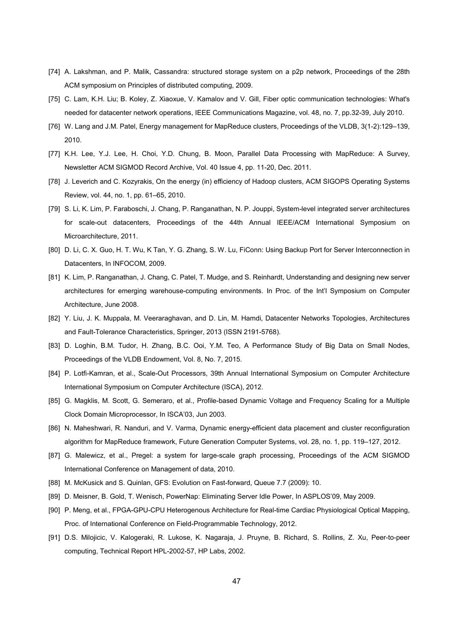- [74] A. Lakshman, and P. Malik, Cassandra: structured storage system on a p2p network, Proceedings of the 28th ACM symposium on Principles of distributed computing, 2009.
- [75] C. Lam, K.H. Liu; B. Koley, Z. Xiaoxue, V. Kamalov and V. Gill, Fiber optic communication technologies: What's needed for datacenter network operations, IEEE Communications Magazine, vol. 48, no. 7, pp.32-39, July 2010.
- [76] W. Lang and J.M. Patel, Energy management for MapReduce clusters, Proceedings of the VLDB, 3(1-2):129–139, 2010.
- [77] K.H. Lee, Y.J. Lee, H. Choi, Y.D. Chung, B. Moon, Parallel Data Processing with MapReduce: A Survey, Newsletter ACM SIGMOD Record Archive, Vol. 40 Issue 4, pp. 11-20, Dec. 2011.
- [78] J. Leverich and C. Kozyrakis, On the energy (in) efficiency of Hadoop clusters, ACM SIGOPS Operating Systems Review, vol. 44, no. 1, pp. 61–65, 2010.
- [79] S. Li, K. Lim, P. Faraboschi, J. Chang, P. Ranganathan, N. P. Jouppi, System-level integrated server architectures for scale-out datacenters, Proceedings of the 44th Annual IEEE/ACM International Symposium on Microarchitecture, 2011.
- [80] D. Li, C. X. Guo, H. T. Wu, K Tan, Y. G. Zhang, S. W. Lu, FiConn: Using Backup Port for Server Interconnection in Datacenters, In INFOCOM, 2009.
- [81] K. Lim, P. Ranganathan, J. Chang, C. Patel, T. Mudge, and S. Reinhardt, Understanding and designing new server architectures for emerging warehouse-computing environments. In Proc. of the Int'l Symposium on Computer Architecture, June 2008.
- [82] Y. Liu, J. K. Muppala, M. Veeraraghavan, and D. Lin, M. Hamdi, Datacenter Networks Topologies, Architectures and Fault-Tolerance Characteristics, Springer, 2013 (ISSN 2191-5768).
- [83] D. Loghin, B.M. Tudor, H. Zhang, B.C. Ooi, Y.M. Teo, A Performance Study of Big Data on Small Nodes, Proceedings of the VLDB Endowment, Vol. 8, No. 7, 2015.
- [84] P. Lotfi-Kamran, et al., Scale-Out Processors, 39th Annual International Symposium on Computer Architecture International Symposium on Computer Architecture (ISCA), 2012.
- [85] G. Magklis, M. Scott, G. Semeraro, et al., Profile-based Dynamic Voltage and Frequency Scaling for a Multiple Clock Domain Microprocessor, In ISCA'03, Jun 2003.
- [86] N. Maheshwari, R. Nanduri, and V. Varma, Dynamic energy-efficient data placement and cluster reconfiguration algorithm for MapReduce framework, Future Generation Computer Systems, vol. 28, no. 1, pp. 119–127, 2012.
- [87] G. Malewicz, et al., Pregel: a system for large-scale graph processing, Proceedings of the ACM SIGMOD International Conference on Management of data, 2010.
- [88] M. McKusick and S. Quinlan, GFS: Evolution on Fast-forward, Queue 7.7 (2009): 10.
- [89] D. Meisner, B. Gold, T. Wenisch, PowerNap: Eliminating Server Idle Power, In ASPLOS'09, May 2009.
- [90] P. Meng, et al., FPGA-GPU-CPU Heterogenous Architecture for Real-time Cardiac Physiological Optical Mapping, Proc. of International Conference on Field-Programmable Technology, 2012.
- [91] D.S. Milojicic, V. Kalogeraki, R. Lukose, K. Nagaraja, J. Pruyne, B. Richard, S. Rollins, Z. Xu, Peer-to-peer computing, Technical Report HPL-2002-57, HP Labs, 2002.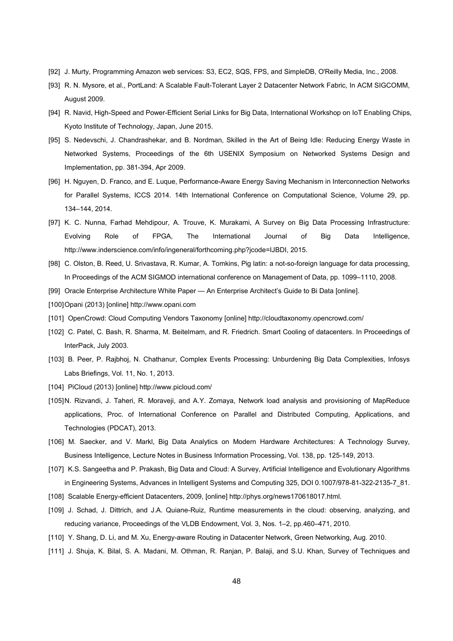- [92] J. Murty, Programming Amazon web services: S3, EC2, SQS, FPS, and SimpleDB, O'Reilly Media, Inc., 2008.
- [93] R. N. Mysore, et al., PortLand: A Scalable Fault-Tolerant Layer 2 Datacenter Network Fabric, In ACM SIGCOMM, August 2009.
- [94] R. Navid, High-Speed and Power-Efficient Serial Links for Big Data, International Workshop on IoT Enabling Chips, Kyoto Institute of Technology, Japan, June 2015.
- [95] S. Nedevschi, J. Chandrashekar, and B. Nordman, Skilled in the Art of Being Idle: Reducing Energy Waste in Networked Systems, Proceedings of the 6th USENIX Symposium on Networked Systems Design and Implementation, pp. 381-394, Apr 2009.
- [96] H. Nguyen, D. Franco, and E. Luque, Performance-Aware Energy Saving Mechanism in Interconnection Networks for Parallel Systems, ICCS 2014. 14th International Conference on Computational Science, Volume 29, pp. 134–144, 2014.
- [97] K. C. Nunna, Farhad Mehdipour, A. Trouve, K. Murakami, A Survey on Big Data Processing Infrastructure: Evolving Role of FPGA, The International Journal of Big Data Intelligence, http://www.inderscience.com/info/ingeneral/forthcoming.php?jcode=IJBDI, 2015.
- [98] C. Olston, B. Reed, U. Srivastava, R. Kumar, A. Tomkins, Pig latin: a not-so-foreign language for data processing, In Proceedings of the ACM SIGMOD international conference on Management of Data, pp. 1099–1110, 2008.
- [99] Oracle Enterprise Architecture White Paper An Enterprise Architect's Guide to Bi Data [online].
- [100] Opani (2013) [online] http://www.opani.com
- [101] OpenCrowd: Cloud Computing Vendors Taxonomy [online] http://cloudtaxonomy.opencrowd.com/
- [102] C. Patel, C. Bash, R. Sharma, M. Beitelmam, and R. Friedrich. Smart Cooling of datacenters. In Proceedings of InterPack, July 2003.
- [103] B. Peer, P. Rajbhoj, N. Chathanur, Complex Events Processing: Unburdening Big Data Complexities, Infosys Labs Briefings, Vol. 11, No. 1, 2013.
- [104] PiCloud (2013) [online] http://www.picloud.com/
- [105] N. Rizvandi, J. Taheri, R. Moraveji, and A.Y. Zomaya, Network load analysis and provisioning of MapReduce applications, Proc. of International Conference on Parallel and Distributed Computing, Applications, and Technologies (PDCAT), 2013.
- [106] M. Saecker, and V. Markl, Big Data Analytics on Modern Hardware Architectures: A Technology Survey, Business Intelligence, Lecture Notes in Business Information Processing, Vol. 138, pp. 125-149, 2013.
- [107] K.S. Sangeetha and P. Prakash, Big Data and Cloud: A Survey, Artificial Intelligence and Evolutionary Algorithms in Engineering Systems, Advances in Intelligent Systems and Computing 325, DOI 0.1007/978-81-322-2135-7\_81.
- [108] Scalable Energy-efficient Datacenters, 2009, [online] http://phys.org/news170618017.html.
- [109] J. Schad, J. Dittrich, and J.A. Quiane-Ruiz, Runtime measurements in the cloud: observing, analyzing, and reducing variance, Proceedings of the VLDB Endowment, Vol. 3, Nos. 1–2, pp.460–471, 2010.
- [110] Y. Shang, D. Li, and M. Xu, Energy-aware Routing in Datacenter Network, Green Networking, Aug. 2010.
- [111] J. Shuja, K. Bilal, S. A. Madani, M. Othman, R. Ranjan, P. Balaji, and S.U. Khan, Survey of Techniques and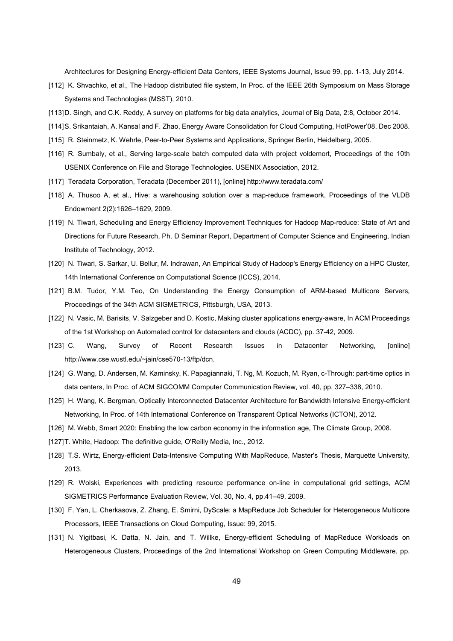Architectures for Designing Energy-efficient Data Centers, IEEE Systems Journal, Issue 99, pp. 1-13, July 2014.

- [112] K. Shvachko, et al., The Hadoop distributed file system, In Proc. of the IEEE 26th Symposium on Mass Storage Systems and Technologies (MSST), 2010.
- [113] D. Singh, and C.K. Reddy, A survey on platforms for big data analytics, Journal of Big Data, 2:8, October 2014.
- [114] S. Srikantaiah, A. Kansal and F. Zhao, Energy Aware Consolidation for Cloud Computing, HotPower'08, Dec 2008.
- [115] R. Steinmetz, K. Wehrle, Peer-to-Peer Systems and Applications, Springer Berlin, Heidelberg, 2005.
- [116] R. Sumbaly, et al., Serving large-scale batch computed data with project voldemort, Proceedings of the 10th USENIX Conference on File and Storage Technologies. USENIX Association, 2012.
- [117] Teradata Corporation, Teradata (December 2011), [online] http://www.teradata.com/
- [118] A. Thusoo A, et al., Hive: a warehousing solution over a map-reduce framework, Proceedings of the VLDB Endowment 2(2):1626–1629, 2009.
- [119] N. Tiwari, Scheduling and Energy Efficiency Improvement Techniques for Hadoop Map-reduce: State of Art and Directions for Future Research, Ph. D Seminar Report, Department of Computer Science and Engineering, Indian Institute of Technology, 2012.
- [120] N. Tiwari, S. Sarkar, U. Bellur, M. Indrawan, An Empirical Study of Hadoop's Energy Efficiency on a HPC Cluster, 14th International Conference on Computational Science (ICCS), 2014.
- [121] B.M. Tudor, Y.M. Teo, On Understanding the Energy Consumption of ARM-based Multicore Servers, Proceedings of the 34th ACM SIGMETRICS, Pittsburgh, USA, 2013.
- [122] N. Vasic, M. Barisits, V. Salzgeber and D. Kostic, Making cluster applications energy-aware, In ACM Proceedings of the 1st Workshop on Automated control for datacenters and clouds (ACDC), pp. 37-42, 2009.
- [123] C. Wang, Survey of Recent Research Issues in Datacenter Networking, [online] http://www.cse.wustl.edu/~jain/cse570-13/ftp/dcn.
- [124] G. Wang, D. Andersen, M. Kaminsky, K. Papagiannaki, T. Ng, M. Kozuch, M. Ryan, c-Through: part-time optics in data centers, In Proc. of ACM SIGCOMM Computer Communication Review, vol. 40, pp. 327–338, 2010.
- [125] H. Wang, K. Bergman, Optically Interconnected Datacenter Architecture for Bandwidth Intensive Energy-efficient Networking, In Proc. of 14th International Conference on Transparent Optical Networks (ICTON), 2012.
- [126] M. Webb, Smart 2020: Enabling the low carbon economy in the information age, The Climate Group, 2008.
- [127] T. White, Hadoop: The definitive guide, O'Reilly Media, Inc., 2012.
- [128] T.S. Wirtz, Energy-efficient Data-Intensive Computing With MapReduce, Master's Thesis, Marquette University, 2013.
- [129] R. Wolski, Experiences with predicting resource performance on-line in computational grid settings, ACM SIGMETRICS Performance Evaluation Review, Vol. 30, No. 4, pp.41–49, 2009.
- [130] F. Yan, L. Cherkasova, Z. Zhang, E. Smirni, DyScale: a MapReduce Job Scheduler for Heterogeneous Multicore Processors, IEEE Transactions on Cloud Computing, Issue: 99, 2015.
- [131] N. Yigitbasi, K. Datta, N. Jain, and T. Willke, Energy-efficient Scheduling of MapReduce Workloads on Heterogeneous Clusters, Proceedings of the 2nd International Workshop on Green Computing Middleware, pp.